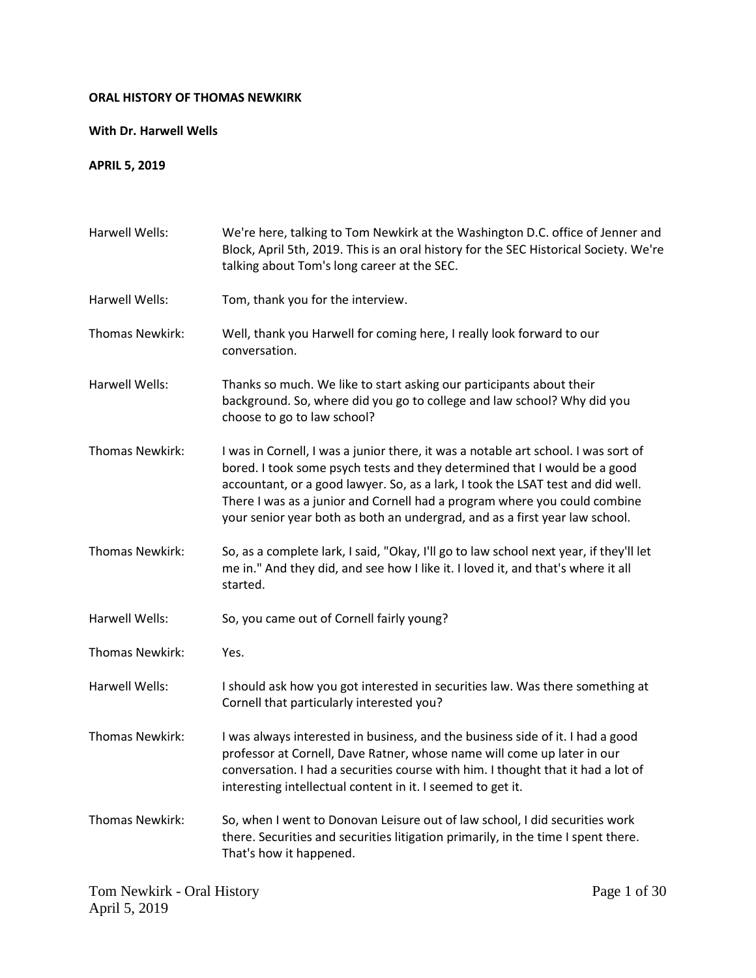## **ORAL HISTORY OF THOMAS NEWKIRK**

## **With Dr. Harwell Wells**

## **APRIL 5, 2019**

| Harwell Wells:  | We're here, talking to Tom Newkirk at the Washington D.C. office of Jenner and<br>Block, April 5th, 2019. This is an oral history for the SEC Historical Society. We're<br>talking about Tom's long career at the SEC.                                                                                                                                                                                         |
|-----------------|----------------------------------------------------------------------------------------------------------------------------------------------------------------------------------------------------------------------------------------------------------------------------------------------------------------------------------------------------------------------------------------------------------------|
| Harwell Wells:  | Tom, thank you for the interview.                                                                                                                                                                                                                                                                                                                                                                              |
| Thomas Newkirk: | Well, thank you Harwell for coming here, I really look forward to our<br>conversation.                                                                                                                                                                                                                                                                                                                         |
| Harwell Wells:  | Thanks so much. We like to start asking our participants about their<br>background. So, where did you go to college and law school? Why did you<br>choose to go to law school?                                                                                                                                                                                                                                 |
| Thomas Newkirk: | I was in Cornell, I was a junior there, it was a notable art school. I was sort of<br>bored. I took some psych tests and they determined that I would be a good<br>accountant, or a good lawyer. So, as a lark, I took the LSAT test and did well.<br>There I was as a junior and Cornell had a program where you could combine<br>your senior year both as both an undergrad, and as a first year law school. |
| Thomas Newkirk: | So, as a complete lark, I said, "Okay, I'll go to law school next year, if they'll let<br>me in." And they did, and see how I like it. I loved it, and that's where it all<br>started.                                                                                                                                                                                                                         |
| Harwell Wells:  | So, you came out of Cornell fairly young?                                                                                                                                                                                                                                                                                                                                                                      |
| Thomas Newkirk: | Yes.                                                                                                                                                                                                                                                                                                                                                                                                           |
| Harwell Wells:  | I should ask how you got interested in securities law. Was there something at<br>Cornell that particularly interested you?                                                                                                                                                                                                                                                                                     |
| Thomas Newkirk: | I was always interested in business, and the business side of it. I had a good<br>professor at Cornell, Dave Ratner, whose name will come up later in our<br>conversation. I had a securities course with him. I thought that it had a lot of<br>interesting intellectual content in it. I seemed to get it.                                                                                                   |
| Thomas Newkirk: | So, when I went to Donovan Leisure out of law school, I did securities work<br>there. Securities and securities litigation primarily, in the time I spent there.<br>That's how it happened.                                                                                                                                                                                                                    |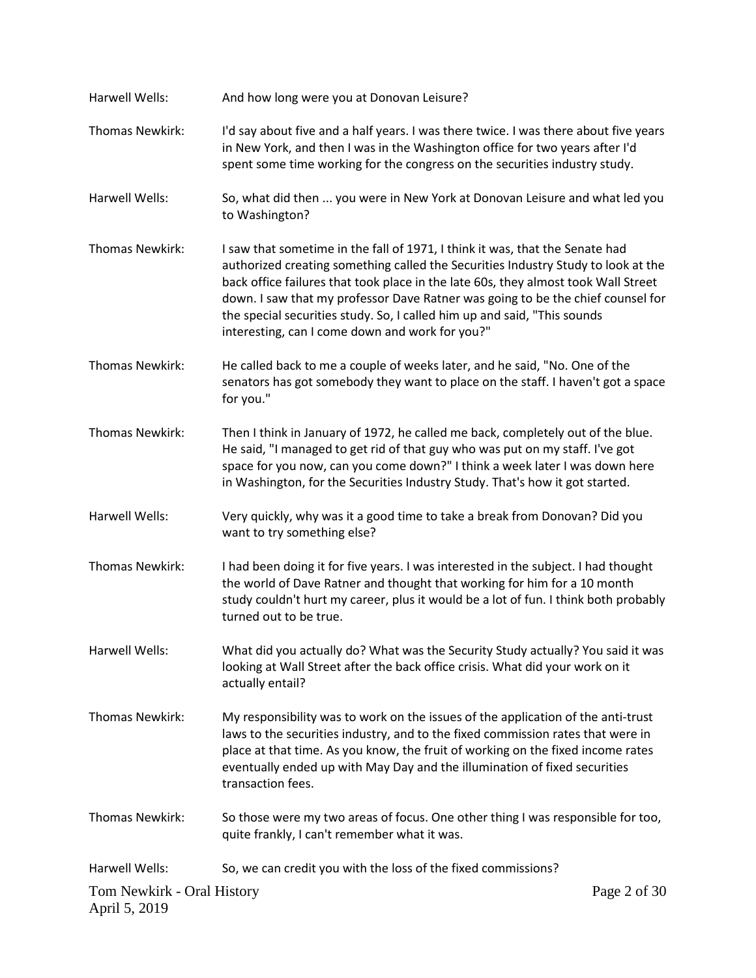| Harwell Wells:                              | And how long were you at Donovan Leisure?                                                                                                                                                                                                                                                                                                                                                                                                                                 |  |
|---------------------------------------------|---------------------------------------------------------------------------------------------------------------------------------------------------------------------------------------------------------------------------------------------------------------------------------------------------------------------------------------------------------------------------------------------------------------------------------------------------------------------------|--|
| Thomas Newkirk:                             | I'd say about five and a half years. I was there twice. I was there about five years<br>in New York, and then I was in the Washington office for two years after I'd<br>spent some time working for the congress on the securities industry study.                                                                                                                                                                                                                        |  |
| Harwell Wells:                              | So, what did then  you were in New York at Donovan Leisure and what led you<br>to Washington?                                                                                                                                                                                                                                                                                                                                                                             |  |
| Thomas Newkirk:                             | I saw that sometime in the fall of 1971, I think it was, that the Senate had<br>authorized creating something called the Securities Industry Study to look at the<br>back office failures that took place in the late 60s, they almost took Wall Street<br>down. I saw that my professor Dave Ratner was going to be the chief counsel for<br>the special securities study. So, I called him up and said, "This sounds<br>interesting, can I come down and work for you?" |  |
| Thomas Newkirk:                             | He called back to me a couple of weeks later, and he said, "No. One of the<br>senators has got somebody they want to place on the staff. I haven't got a space<br>for you."                                                                                                                                                                                                                                                                                               |  |
| <b>Thomas Newkirk:</b>                      | Then I think in January of 1972, he called me back, completely out of the blue.<br>He said, "I managed to get rid of that guy who was put on my staff. I've got<br>space for you now, can you come down?" I think a week later I was down here<br>in Washington, for the Securities Industry Study. That's how it got started.                                                                                                                                            |  |
| Harwell Wells:                              | Very quickly, why was it a good time to take a break from Donovan? Did you<br>want to try something else?                                                                                                                                                                                                                                                                                                                                                                 |  |
| <b>Thomas Newkirk:</b>                      | I had been doing it for five years. I was interested in the subject. I had thought<br>the world of Dave Ratner and thought that working for him for a 10 month<br>study couldn't hurt my career, plus it would be a lot of fun. I think both probably<br>turned out to be true.                                                                                                                                                                                           |  |
| Harwell Wells:                              | What did you actually do? What was the Security Study actually? You said it was<br>looking at Wall Street after the back office crisis. What did your work on it<br>actually entail?                                                                                                                                                                                                                                                                                      |  |
| Thomas Newkirk:                             | My responsibility was to work on the issues of the application of the anti-trust<br>laws to the securities industry, and to the fixed commission rates that were in<br>place at that time. As you know, the fruit of working on the fixed income rates<br>eventually ended up with May Day and the illumination of fixed securities<br>transaction fees.                                                                                                                  |  |
| Thomas Newkirk:                             | So those were my two areas of focus. One other thing I was responsible for too,<br>quite frankly, I can't remember what it was.                                                                                                                                                                                                                                                                                                                                           |  |
| Harwell Wells:                              | So, we can credit you with the loss of the fixed commissions?                                                                                                                                                                                                                                                                                                                                                                                                             |  |
| Tom Newkirk - Oral History<br>April 5, 2019 | Page 2 of 30                                                                                                                                                                                                                                                                                                                                                                                                                                                              |  |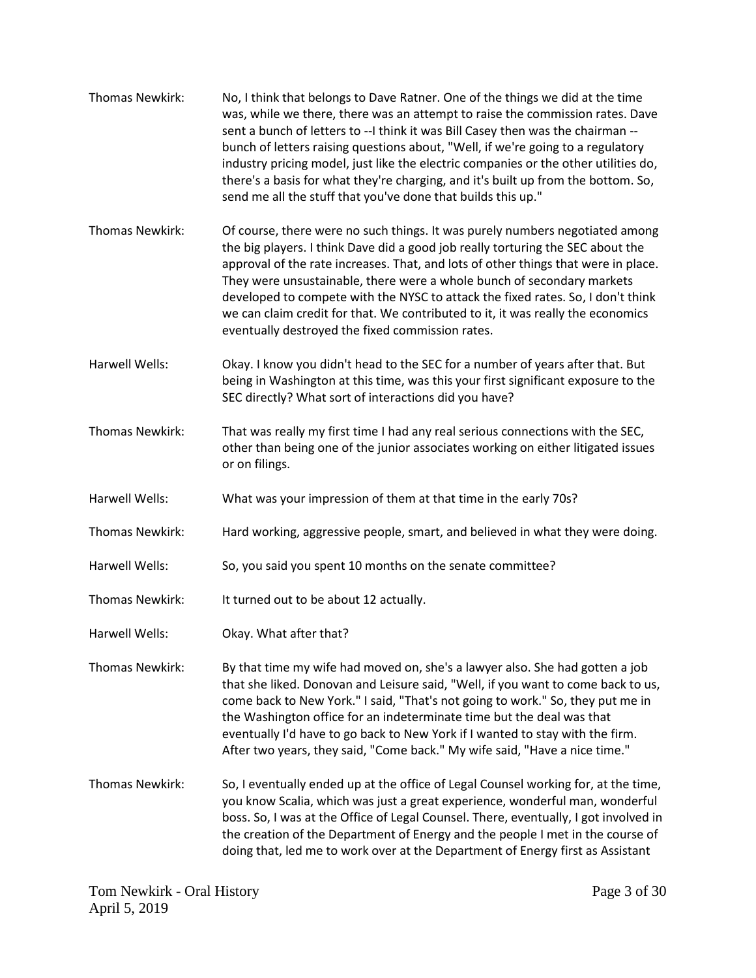| Thomas Newkirk:        | No, I think that belongs to Dave Ratner. One of the things we did at the time<br>was, while we there, there was an attempt to raise the commission rates. Dave<br>sent a bunch of letters to --I think it was Bill Casey then was the chairman --<br>bunch of letters raising questions about, "Well, if we're going to a regulatory<br>industry pricing model, just like the electric companies or the other utilities do,<br>there's a basis for what they're charging, and it's built up from the bottom. So,<br>send me all the stuff that you've done that builds this up." |
|------------------------|----------------------------------------------------------------------------------------------------------------------------------------------------------------------------------------------------------------------------------------------------------------------------------------------------------------------------------------------------------------------------------------------------------------------------------------------------------------------------------------------------------------------------------------------------------------------------------|
| Thomas Newkirk:        | Of course, there were no such things. It was purely numbers negotiated among<br>the big players. I think Dave did a good job really torturing the SEC about the<br>approval of the rate increases. That, and lots of other things that were in place.<br>They were unsustainable, there were a whole bunch of secondary markets<br>developed to compete with the NYSC to attack the fixed rates. So, I don't think<br>we can claim credit for that. We contributed to it, it was really the economics<br>eventually destroyed the fixed commission rates.                        |
| Harwell Wells:         | Okay. I know you didn't head to the SEC for a number of years after that. But<br>being in Washington at this time, was this your first significant exposure to the<br>SEC directly? What sort of interactions did you have?                                                                                                                                                                                                                                                                                                                                                      |
| Thomas Newkirk:        | That was really my first time I had any real serious connections with the SEC,<br>other than being one of the junior associates working on either litigated issues<br>or on filings.                                                                                                                                                                                                                                                                                                                                                                                             |
| Harwell Wells:         | What was your impression of them at that time in the early 70s?                                                                                                                                                                                                                                                                                                                                                                                                                                                                                                                  |
| Thomas Newkirk:        | Hard working, aggressive people, smart, and believed in what they were doing.                                                                                                                                                                                                                                                                                                                                                                                                                                                                                                    |
| Harwell Wells:         | So, you said you spent 10 months on the senate committee?                                                                                                                                                                                                                                                                                                                                                                                                                                                                                                                        |
| Thomas Newkirk:        | It turned out to be about 12 actually.                                                                                                                                                                                                                                                                                                                                                                                                                                                                                                                                           |
| Harwell Wells:         | Okay. What after that?                                                                                                                                                                                                                                                                                                                                                                                                                                                                                                                                                           |
| Thomas Newkirk:        | By that time my wife had moved on, she's a lawyer also. She had gotten a job<br>that she liked. Donovan and Leisure said, "Well, if you want to come back to us,<br>come back to New York." I said, "That's not going to work." So, they put me in<br>the Washington office for an indeterminate time but the deal was that<br>eventually I'd have to go back to New York if I wanted to stay with the firm.<br>After two years, they said, "Come back." My wife said, "Have a nice time."                                                                                       |
| <b>Thomas Newkirk:</b> | So, I eventually ended up at the office of Legal Counsel working for, at the time,<br>you know Scalia, which was just a great experience, wonderful man, wonderful<br>boss. So, I was at the Office of Legal Counsel. There, eventually, I got involved in<br>the creation of the Department of Energy and the people I met in the course of<br>doing that, led me to work over at the Department of Energy first as Assistant                                                                                                                                                   |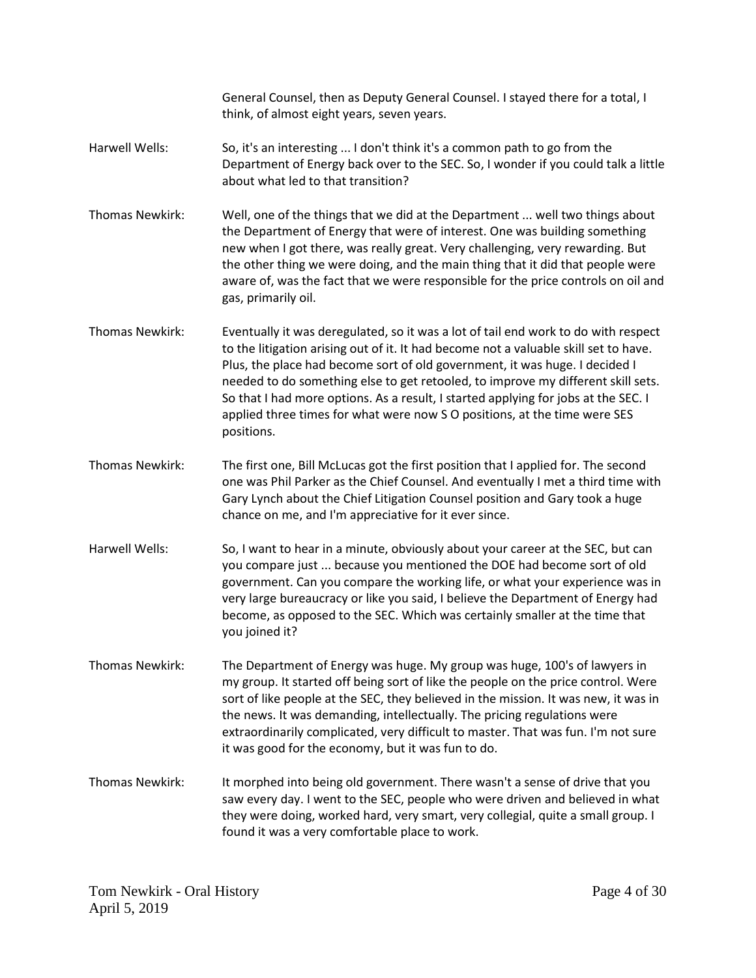General Counsel, then as Deputy General Counsel. I stayed there for a total, I think, of almost eight years, seven years. Harwell Wells: So, it's an interesting ... I don't think it's a common path to go from the Department of Energy back over to the SEC. So, I wonder if you could talk a little about what led to that transition? Thomas Newkirk: Well, one of the things that we did at the Department ... well two things about the Department of Energy that were of interest. One was building something new when I got there, was really great. Very challenging, very rewarding. But the other thing we were doing, and the main thing that it did that people were aware of, was the fact that we were responsible for the price controls on oil and gas, primarily oil. Thomas Newkirk: Eventually it was deregulated, so it was a lot of tail end work to do with respect to the litigation arising out of it. It had become not a valuable skill set to have. Plus, the place had become sort of old government, it was huge. I decided I needed to do something else to get retooled, to improve my different skill sets. So that I had more options. As a result, I started applying for jobs at the SEC. I applied three times for what were now S O positions, at the time were SES positions. Thomas Newkirk: The first one, Bill McLucas got the first position that I applied for. The second one was Phil Parker as the Chief Counsel. And eventually I met a third time with Gary Lynch about the Chief Litigation Counsel position and Gary took a huge chance on me, and I'm appreciative for it ever since. Harwell Wells: So, I want to hear in a minute, obviously about your career at the SEC, but can you compare just ... because you mentioned the DOE had become sort of old government. Can you compare the working life, or what your experience was in very large bureaucracy or like you said, I believe the Department of Energy had become, as opposed to the SEC. Which was certainly smaller at the time that you joined it? Thomas Newkirk: The Department of Energy was huge. My group was huge, 100's of lawyers in my group. It started off being sort of like the people on the price control. Were sort of like people at the SEC, they believed in the mission. It was new, it was in the news. It was demanding, intellectually. The pricing regulations were extraordinarily complicated, very difficult to master. That was fun. I'm not sure it was good for the economy, but it was fun to do. Thomas Newkirk: It morphed into being old government. There wasn't a sense of drive that you saw every day. I went to the SEC, people who were driven and believed in what they were doing, worked hard, very smart, very collegial, quite a small group. I found it was a very comfortable place to work.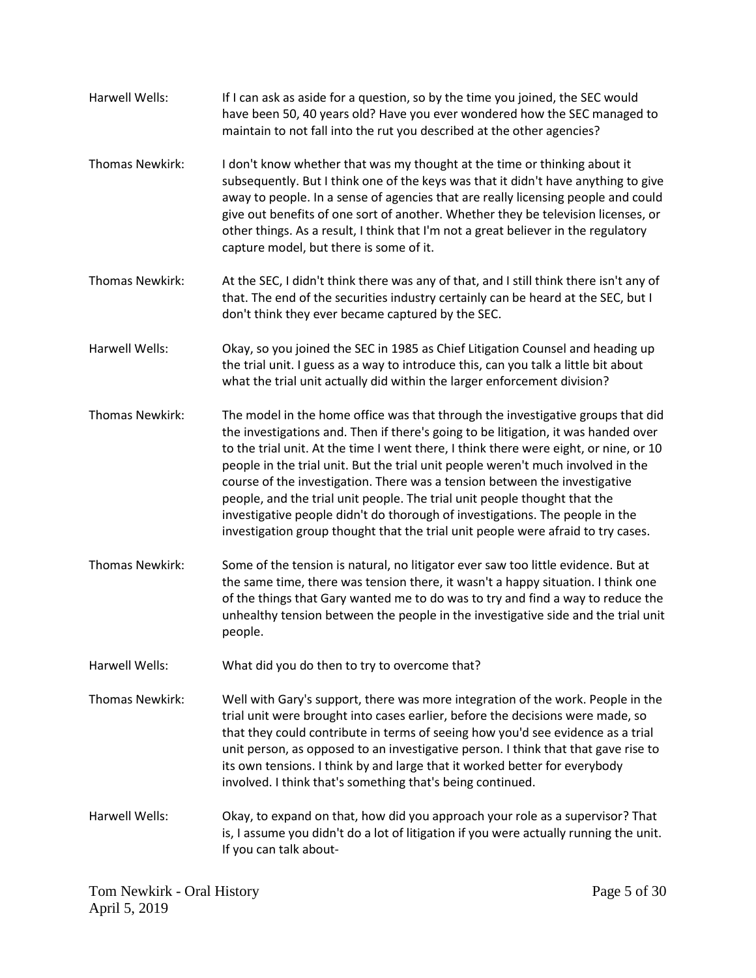| Harwell Wells:         | If I can ask as aside for a question, so by the time you joined, the SEC would<br>have been 50, 40 years old? Have you ever wondered how the SEC managed to<br>maintain to not fall into the rut you described at the other agencies?                                                                                                                                                                                                                                                                                                                                                                                                                                             |
|------------------------|-----------------------------------------------------------------------------------------------------------------------------------------------------------------------------------------------------------------------------------------------------------------------------------------------------------------------------------------------------------------------------------------------------------------------------------------------------------------------------------------------------------------------------------------------------------------------------------------------------------------------------------------------------------------------------------|
| Thomas Newkirk:        | I don't know whether that was my thought at the time or thinking about it<br>subsequently. But I think one of the keys was that it didn't have anything to give<br>away to people. In a sense of agencies that are really licensing people and could<br>give out benefits of one sort of another. Whether they be television licenses, or<br>other things. As a result, I think that I'm not a great believer in the regulatory<br>capture model, but there is some of it.                                                                                                                                                                                                        |
| Thomas Newkirk:        | At the SEC, I didn't think there was any of that, and I still think there isn't any of<br>that. The end of the securities industry certainly can be heard at the SEC, but I<br>don't think they ever became captured by the SEC.                                                                                                                                                                                                                                                                                                                                                                                                                                                  |
| Harwell Wells:         | Okay, so you joined the SEC in 1985 as Chief Litigation Counsel and heading up<br>the trial unit. I guess as a way to introduce this, can you talk a little bit about<br>what the trial unit actually did within the larger enforcement division?                                                                                                                                                                                                                                                                                                                                                                                                                                 |
| <b>Thomas Newkirk:</b> | The model in the home office was that through the investigative groups that did<br>the investigations and. Then if there's going to be litigation, it was handed over<br>to the trial unit. At the time I went there, I think there were eight, or nine, or 10<br>people in the trial unit. But the trial unit people weren't much involved in the<br>course of the investigation. There was a tension between the investigative<br>people, and the trial unit people. The trial unit people thought that the<br>investigative people didn't do thorough of investigations. The people in the<br>investigation group thought that the trial unit people were afraid to try cases. |
| Thomas Newkirk:        | Some of the tension is natural, no litigator ever saw too little evidence. But at<br>the same time, there was tension there, it wasn't a happy situation. I think one<br>of the things that Gary wanted me to do was to try and find a way to reduce the<br>unhealthy tension between the people in the investigative side and the trial unit<br>people.                                                                                                                                                                                                                                                                                                                          |
| Harwell Wells:         | What did you do then to try to overcome that?                                                                                                                                                                                                                                                                                                                                                                                                                                                                                                                                                                                                                                     |
| <b>Thomas Newkirk:</b> | Well with Gary's support, there was more integration of the work. People in the<br>trial unit were brought into cases earlier, before the decisions were made, so<br>that they could contribute in terms of seeing how you'd see evidence as a trial<br>unit person, as opposed to an investigative person. I think that that gave rise to<br>its own tensions. I think by and large that it worked better for everybody<br>involved. I think that's something that's being continued.                                                                                                                                                                                            |
| Harwell Wells:         | Okay, to expand on that, how did you approach your role as a supervisor? That<br>is, I assume you didn't do a lot of litigation if you were actually running the unit.<br>If you can talk about-                                                                                                                                                                                                                                                                                                                                                                                                                                                                                  |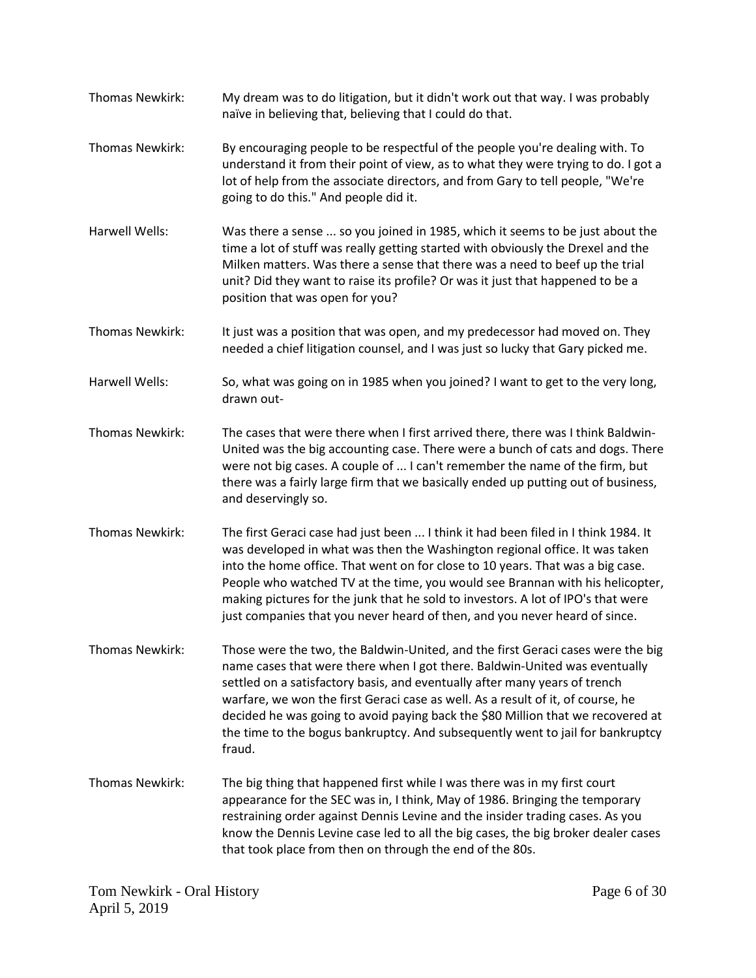- Thomas Newkirk: My dream was to do litigation, but it didn't work out that way. I was probably naïve in believing that, believing that I could do that.
- Thomas Newkirk: By encouraging people to be respectful of the people you're dealing with. To understand it from their point of view, as to what they were trying to do. I got a lot of help from the associate directors, and from Gary to tell people, "We're going to do this." And people did it.
- Harwell Wells: Was there a sense ... so you joined in 1985, which it seems to be just about the time a lot of stuff was really getting started with obviously the Drexel and the Milken matters. Was there a sense that there was a need to beef up the trial unit? Did they want to raise its profile? Or was it just that happened to be a position that was open for you?
- Thomas Newkirk: It just was a position that was open, and my predecessor had moved on. They needed a chief litigation counsel, and I was just so lucky that Gary picked me.
- Harwell Wells: So, what was going on in 1985 when you joined? I want to get to the very long, drawn out-
- Thomas Newkirk: The cases that were there when I first arrived there, there was I think Baldwin-United was the big accounting case. There were a bunch of cats and dogs. There were not big cases. A couple of ... I can't remember the name of the firm, but there was a fairly large firm that we basically ended up putting out of business, and deservingly so.
- Thomas Newkirk: The first Geraci case had just been ... I think it had been filed in I think 1984. It was developed in what was then the Washington regional office. It was taken into the home office. That went on for close to 10 years. That was a big case. People who watched TV at the time, you would see Brannan with his helicopter, making pictures for the junk that he sold to investors. A lot of IPO's that were just companies that you never heard of then, and you never heard of since.
- Thomas Newkirk: Those were the two, the Baldwin-United, and the first Geraci cases were the big name cases that were there when I got there. Baldwin-United was eventually settled on a satisfactory basis, and eventually after many years of trench warfare, we won the first Geraci case as well. As a result of it, of course, he decided he was going to avoid paying back the \$80 Million that we recovered at the time to the bogus bankruptcy. And subsequently went to jail for bankruptcy fraud.
- Thomas Newkirk: The big thing that happened first while I was there was in my first court appearance for the SEC was in, I think, May of 1986. Bringing the temporary restraining order against Dennis Levine and the insider trading cases. As you know the Dennis Levine case led to all the big cases, the big broker dealer cases that took place from then on through the end of the 80s.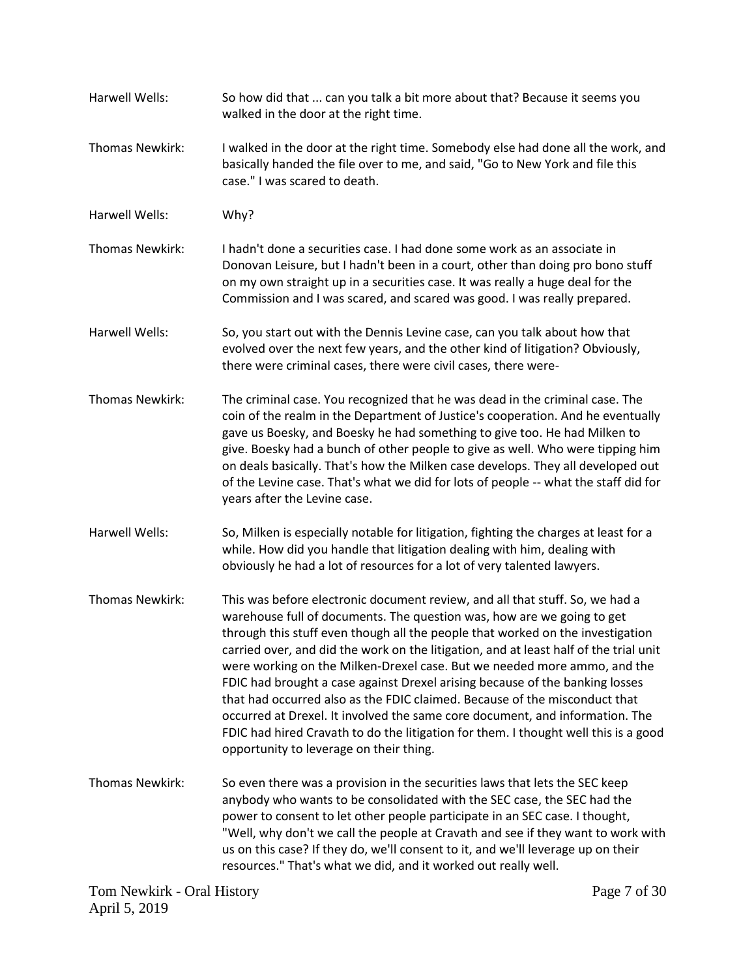Harwell Wells: So how did that ... can you talk a bit more about that? Because it seems you walked in the door at the right time. Thomas Newkirk: I walked in the door at the right time. Somebody else had done all the work, and basically handed the file over to me, and said, "Go to New York and file this case." I was scared to death. Harwell Wells: Why? Thomas Newkirk: I hadn't done a securities case. I had done some work as an associate in Donovan Leisure, but I hadn't been in a court, other than doing pro bono stuff on my own straight up in a securities case. It was really a huge deal for the Commission and I was scared, and scared was good. I was really prepared. Harwell Wells: So, you start out with the Dennis Levine case, can you talk about how that evolved over the next few years, and the other kind of litigation? Obviously, there were criminal cases, there were civil cases, there were-Thomas Newkirk: The criminal case. You recognized that he was dead in the criminal case. The coin of the realm in the Department of Justice's cooperation. And he eventually gave us Boesky, and Boesky he had something to give too. He had Milken to give. Boesky had a bunch of other people to give as well. Who were tipping him on deals basically. That's how the Milken case develops. They all developed out of the Levine case. That's what we did for lots of people -- what the staff did for years after the Levine case. Harwell Wells: So, Milken is especially notable for litigation, fighting the charges at least for a while. How did you handle that litigation dealing with him, dealing with obviously he had a lot of resources for a lot of very talented lawyers. Thomas Newkirk: This was before electronic document review, and all that stuff. So, we had a warehouse full of documents. The question was, how are we going to get through this stuff even though all the people that worked on the investigation carried over, and did the work on the litigation, and at least half of the trial unit were working on the Milken-Drexel case. But we needed more ammo, and the FDIC had brought a case against Drexel arising because of the banking losses that had occurred also as the FDIC claimed. Because of the misconduct that occurred at Drexel. It involved the same core document, and information. The FDIC had hired Cravath to do the litigation for them. I thought well this is a good opportunity to leverage on their thing. Thomas Newkirk: So even there was a provision in the securities laws that lets the SEC keep anybody who wants to be consolidated with the SEC case, the SEC had the power to consent to let other people participate in an SEC case. I thought, "Well, why don't we call the people at Cravath and see if they want to work with us on this case? If they do, we'll consent to it, and we'll leverage up on their resources." That's what we did, and it worked out really well.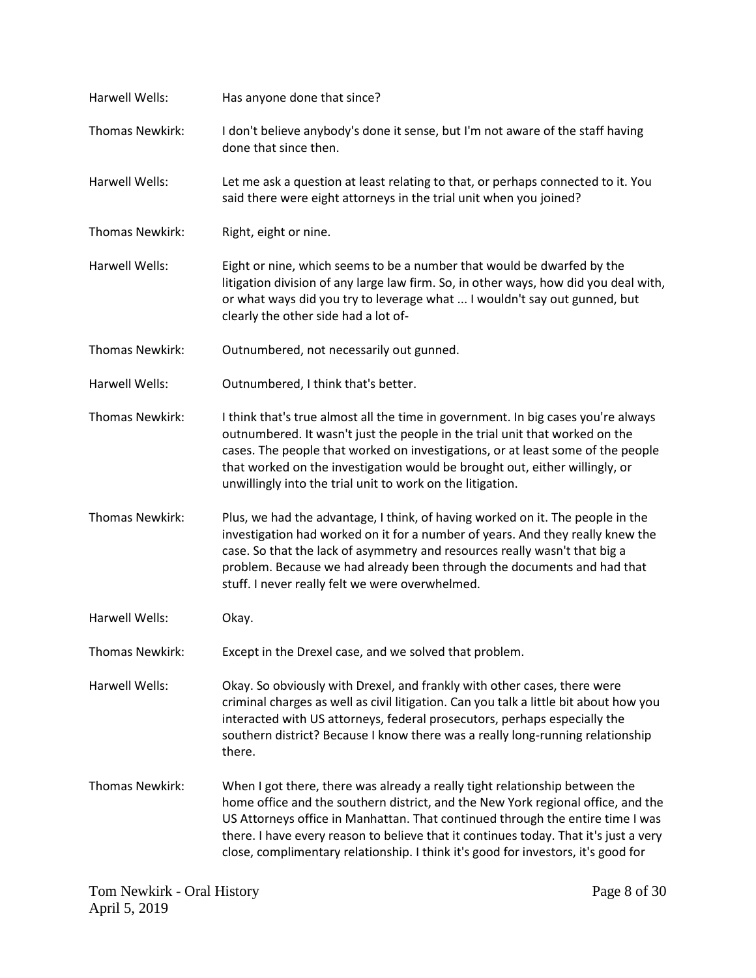| Harwell Wells:         | Has anyone done that since?                                                                                                                                                                                                                                                                                                                                                                                                    |
|------------------------|--------------------------------------------------------------------------------------------------------------------------------------------------------------------------------------------------------------------------------------------------------------------------------------------------------------------------------------------------------------------------------------------------------------------------------|
| Thomas Newkirk:        | I don't believe anybody's done it sense, but I'm not aware of the staff having<br>done that since then.                                                                                                                                                                                                                                                                                                                        |
| <b>Harwell Wells:</b>  | Let me ask a question at least relating to that, or perhaps connected to it. You<br>said there were eight attorneys in the trial unit when you joined?                                                                                                                                                                                                                                                                         |
| Thomas Newkirk:        | Right, eight or nine.                                                                                                                                                                                                                                                                                                                                                                                                          |
| Harwell Wells:         | Eight or nine, which seems to be a number that would be dwarfed by the<br>litigation division of any large law firm. So, in other ways, how did you deal with,<br>or what ways did you try to leverage what  I wouldn't say out gunned, but<br>clearly the other side had a lot of-                                                                                                                                            |
| Thomas Newkirk:        | Outnumbered, not necessarily out gunned.                                                                                                                                                                                                                                                                                                                                                                                       |
| Harwell Wells:         | Outnumbered, I think that's better.                                                                                                                                                                                                                                                                                                                                                                                            |
| <b>Thomas Newkirk:</b> | I think that's true almost all the time in government. In big cases you're always<br>outnumbered. It wasn't just the people in the trial unit that worked on the<br>cases. The people that worked on investigations, or at least some of the people<br>that worked on the investigation would be brought out, either willingly, or<br>unwillingly into the trial unit to work on the litigation.                               |
| Thomas Newkirk:        | Plus, we had the advantage, I think, of having worked on it. The people in the<br>investigation had worked on it for a number of years. And they really knew the<br>case. So that the lack of asymmetry and resources really wasn't that big a<br>problem. Because we had already been through the documents and had that<br>stuff. I never really felt we were overwhelmed.                                                   |
| Harwell Wells:         | Okay.                                                                                                                                                                                                                                                                                                                                                                                                                          |
| Thomas Newkirk:        | Except in the Drexel case, and we solved that problem.                                                                                                                                                                                                                                                                                                                                                                         |
| Harwell Wells:         | Okay. So obviously with Drexel, and frankly with other cases, there were<br>criminal charges as well as civil litigation. Can you talk a little bit about how you<br>interacted with US attorneys, federal prosecutors, perhaps especially the<br>southern district? Because I know there was a really long-running relationship<br>there.                                                                                     |
| Thomas Newkirk:        | When I got there, there was already a really tight relationship between the<br>home office and the southern district, and the New York regional office, and the<br>US Attorneys office in Manhattan. That continued through the entire time I was<br>there. I have every reason to believe that it continues today. That it's just a very<br>close, complimentary relationship. I think it's good for investors, it's good for |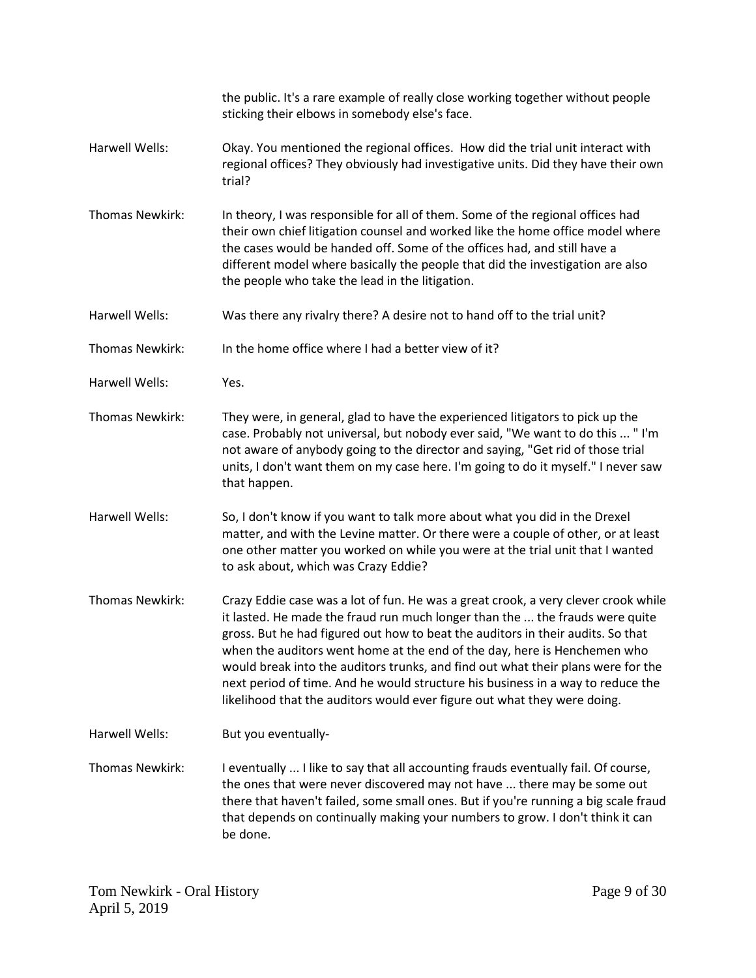|                        | the public. It's a rare example of really close working together without people<br>sticking their elbows in somebody else's face.                                                                                                                                                                                                                                                                                                                                                                                                                                                    |
|------------------------|--------------------------------------------------------------------------------------------------------------------------------------------------------------------------------------------------------------------------------------------------------------------------------------------------------------------------------------------------------------------------------------------------------------------------------------------------------------------------------------------------------------------------------------------------------------------------------------|
| Harwell Wells:         | Okay. You mentioned the regional offices. How did the trial unit interact with<br>regional offices? They obviously had investigative units. Did they have their own<br>trial?                                                                                                                                                                                                                                                                                                                                                                                                        |
| <b>Thomas Newkirk:</b> | In theory, I was responsible for all of them. Some of the regional offices had<br>their own chief litigation counsel and worked like the home office model where<br>the cases would be handed off. Some of the offices had, and still have a<br>different model where basically the people that did the investigation are also<br>the people who take the lead in the litigation.                                                                                                                                                                                                    |
| Harwell Wells:         | Was there any rivalry there? A desire not to hand off to the trial unit?                                                                                                                                                                                                                                                                                                                                                                                                                                                                                                             |
| Thomas Newkirk:        | In the home office where I had a better view of it?                                                                                                                                                                                                                                                                                                                                                                                                                                                                                                                                  |
| Harwell Wells:         | Yes.                                                                                                                                                                                                                                                                                                                                                                                                                                                                                                                                                                                 |
| Thomas Newkirk:        | They were, in general, glad to have the experienced litigators to pick up the<br>case. Probably not universal, but nobody ever said, "We want to do this  "I'm<br>not aware of anybody going to the director and saying, "Get rid of those trial<br>units, I don't want them on my case here. I'm going to do it myself." I never saw<br>that happen.                                                                                                                                                                                                                                |
| Harwell Wells:         | So, I don't know if you want to talk more about what you did in the Drexel<br>matter, and with the Levine matter. Or there were a couple of other, or at least<br>one other matter you worked on while you were at the trial unit that I wanted<br>to ask about, which was Crazy Eddie?                                                                                                                                                                                                                                                                                              |
| Thomas Newkirk:        | Crazy Eddie case was a lot of fun. He was a great crook, a very clever crook while<br>it lasted. He made the fraud run much longer than the  the frauds were quite<br>gross. But he had figured out how to beat the auditors in their audits. So that<br>when the auditors went home at the end of the day, here is Henchemen who<br>would break into the auditors trunks, and find out what their plans were for the<br>next period of time. And he would structure his business in a way to reduce the<br>likelihood that the auditors would ever figure out what they were doing. |
| <b>Harwell Wells:</b>  | But you eventually-                                                                                                                                                                                                                                                                                                                                                                                                                                                                                                                                                                  |
| Thomas Newkirk:        | I eventually  I like to say that all accounting frauds eventually fail. Of course,<br>the ones that were never discovered may not have  there may be some out<br>there that haven't failed, some small ones. But if you're running a big scale fraud<br>that depends on continually making your numbers to grow. I don't think it can<br>be done.                                                                                                                                                                                                                                    |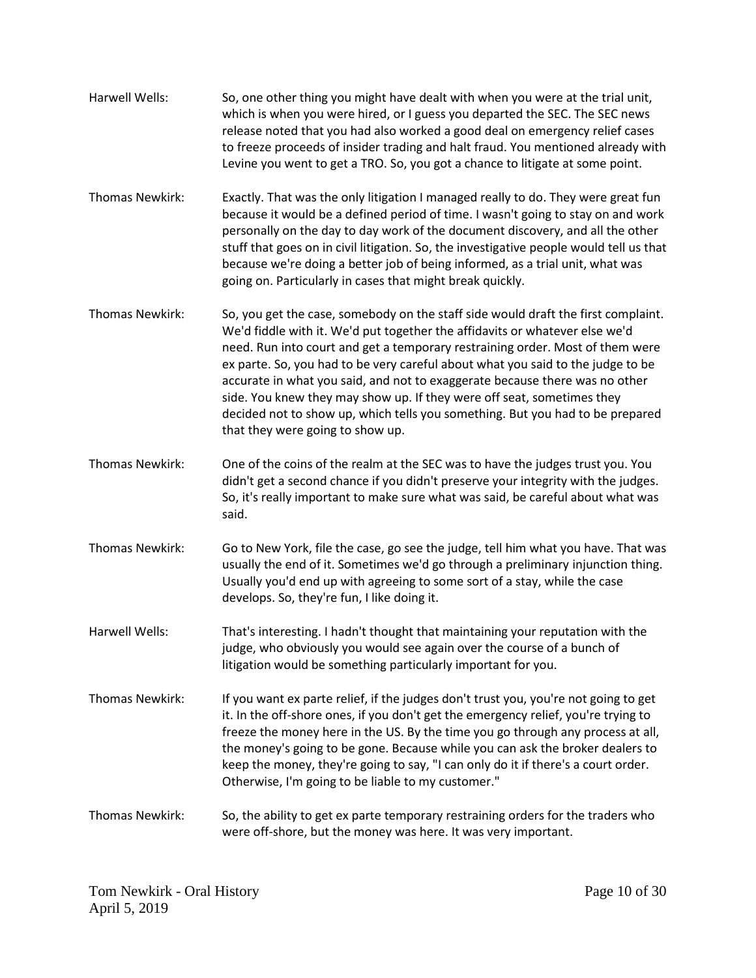Harwell Wells: So, one other thing you might have dealt with when you were at the trial unit, which is when you were hired, or I guess you departed the SEC. The SEC news release noted that you had also worked a good deal on emergency relief cases to freeze proceeds of insider trading and halt fraud. You mentioned already with Levine you went to get a TRO. So, you got a chance to litigate at some point. Thomas Newkirk: Exactly. That was the only litigation I managed really to do. They were great fun because it would be a defined period of time. I wasn't going to stay on and work personally on the day to day work of the document discovery, and all the other stuff that goes on in civil litigation. So, the investigative people would tell us that because we're doing a better job of being informed, as a trial unit, what was going on. Particularly in cases that might break quickly. Thomas Newkirk: So, you get the case, somebody on the staff side would draft the first complaint. We'd fiddle with it. We'd put together the affidavits or whatever else we'd need. Run into court and get a temporary restraining order. Most of them were ex parte. So, you had to be very careful about what you said to the judge to be accurate in what you said, and not to exaggerate because there was no other side. You knew they may show up. If they were off seat, sometimes they decided not to show up, which tells you something. But you had to be prepared that they were going to show up. Thomas Newkirk: One of the coins of the realm at the SEC was to have the judges trust you. You didn't get a second chance if you didn't preserve your integrity with the judges. So, it's really important to make sure what was said, be careful about what was said. Thomas Newkirk: Go to New York, file the case, go see the judge, tell him what you have. That was usually the end of it. Sometimes we'd go through a preliminary injunction thing. Usually you'd end up with agreeing to some sort of a stay, while the case develops. So, they're fun, I like doing it. Harwell Wells: That's interesting. I hadn't thought that maintaining your reputation with the judge, who obviously you would see again over the course of a bunch of litigation would be something particularly important for you. Thomas Newkirk: If you want ex parte relief, if the judges don't trust you, you're not going to get it. In the off-shore ones, if you don't get the emergency relief, you're trying to freeze the money here in the US. By the time you go through any process at all, the money's going to be gone. Because while you can ask the broker dealers to keep the money, they're going to say, "I can only do it if there's a court order. Otherwise, I'm going to be liable to my customer." Thomas Newkirk: So, the ability to get ex parte temporary restraining orders for the traders who were off-shore, but the money was here. It was very important.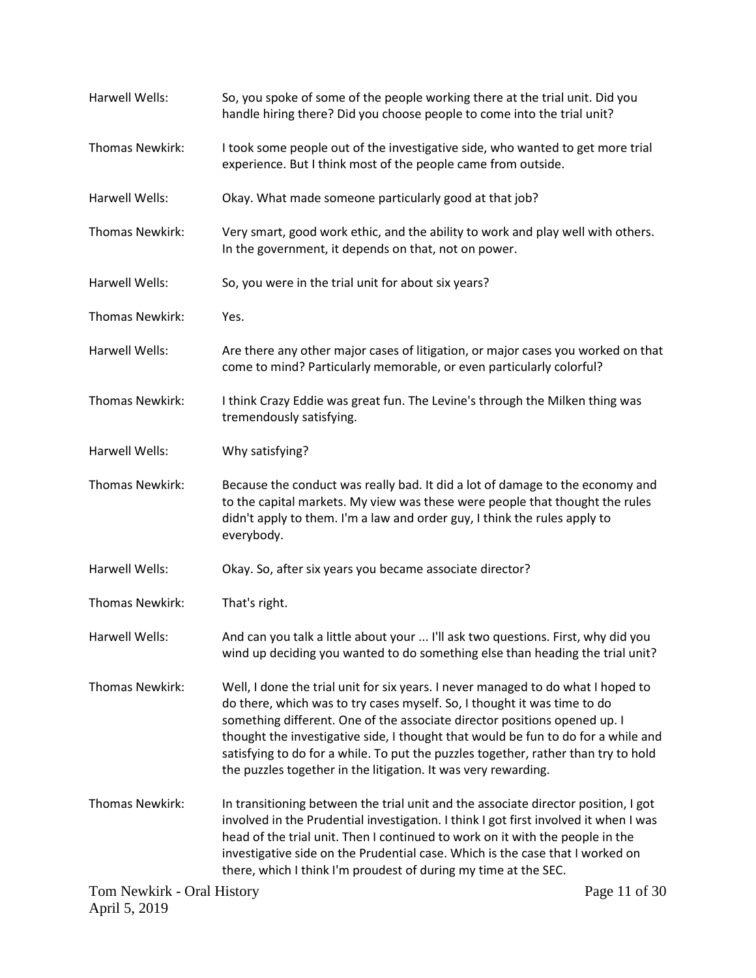| Harwell Wells:             | So, you spoke of some of the people working there at the trial unit. Did you<br>handle hiring there? Did you choose people to come into the trial unit?                                                                                                                                                                                                                                                                                                                                |  |
|----------------------------|----------------------------------------------------------------------------------------------------------------------------------------------------------------------------------------------------------------------------------------------------------------------------------------------------------------------------------------------------------------------------------------------------------------------------------------------------------------------------------------|--|
| Thomas Newkirk:            | I took some people out of the investigative side, who wanted to get more trial<br>experience. But I think most of the people came from outside.                                                                                                                                                                                                                                                                                                                                        |  |
| Harwell Wells:             | Okay. What made someone particularly good at that job?                                                                                                                                                                                                                                                                                                                                                                                                                                 |  |
| <b>Thomas Newkirk:</b>     | Very smart, good work ethic, and the ability to work and play well with others.<br>In the government, it depends on that, not on power.                                                                                                                                                                                                                                                                                                                                                |  |
| Harwell Wells:             | So, you were in the trial unit for about six years?                                                                                                                                                                                                                                                                                                                                                                                                                                    |  |
| Thomas Newkirk:            | Yes.                                                                                                                                                                                                                                                                                                                                                                                                                                                                                   |  |
| Harwell Wells:             | Are there any other major cases of litigation, or major cases you worked on that<br>come to mind? Particularly memorable, or even particularly colorful?                                                                                                                                                                                                                                                                                                                               |  |
| Thomas Newkirk:            | I think Crazy Eddie was great fun. The Levine's through the Milken thing was<br>tremendously satisfying.                                                                                                                                                                                                                                                                                                                                                                               |  |
| Harwell Wells:             | Why satisfying?                                                                                                                                                                                                                                                                                                                                                                                                                                                                        |  |
| <b>Thomas Newkirk:</b>     | Because the conduct was really bad. It did a lot of damage to the economy and<br>to the capital markets. My view was these were people that thought the rules<br>didn't apply to them. I'm a law and order guy, I think the rules apply to<br>everybody.                                                                                                                                                                                                                               |  |
| Harwell Wells:             | Okay. So, after six years you became associate director?                                                                                                                                                                                                                                                                                                                                                                                                                               |  |
| Thomas Newkirk:            | That's right.                                                                                                                                                                                                                                                                                                                                                                                                                                                                          |  |
| Harwell Wells:             | And can you talk a little about your  I'll ask two questions. First, why did you<br>wind up deciding you wanted to do something else than heading the trial unit?                                                                                                                                                                                                                                                                                                                      |  |
| Thomas Newkirk:            | Well, I done the trial unit for six years. I never managed to do what I hoped to<br>do there, which was to try cases myself. So, I thought it was time to do<br>something different. One of the associate director positions opened up. I<br>thought the investigative side, I thought that would be fun to do for a while and<br>satisfying to do for a while. To put the puzzles together, rather than try to hold<br>the puzzles together in the litigation. It was very rewarding. |  |
| Thomas Newkirk:            | In transitioning between the trial unit and the associate director position, I got<br>involved in the Prudential investigation. I think I got first involved it when I was<br>head of the trial unit. Then I continued to work on it with the people in the<br>investigative side on the Prudential case. Which is the case that I worked on<br>there, which I think I'm proudest of during my time at the SEC.                                                                        |  |
| Tom Newkirk - Oral History | Page 11 of 30                                                                                                                                                                                                                                                                                                                                                                                                                                                                          |  |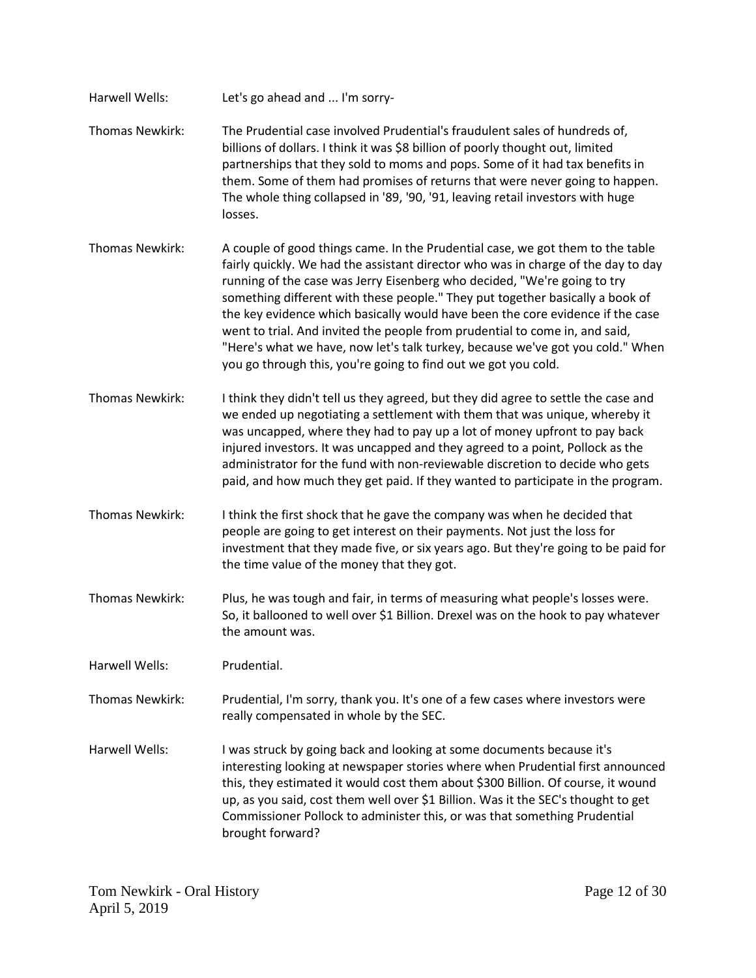| Harwell Wells:         | Let's go ahead and  I'm sorry-                                                                                                                                                                                                                                                                                                                                                                                                                                                                                                                                                                                                                        |
|------------------------|-------------------------------------------------------------------------------------------------------------------------------------------------------------------------------------------------------------------------------------------------------------------------------------------------------------------------------------------------------------------------------------------------------------------------------------------------------------------------------------------------------------------------------------------------------------------------------------------------------------------------------------------------------|
| Thomas Newkirk:        | The Prudential case involved Prudential's fraudulent sales of hundreds of,<br>billions of dollars. I think it was \$8 billion of poorly thought out, limited<br>partnerships that they sold to moms and pops. Some of it had tax benefits in<br>them. Some of them had promises of returns that were never going to happen.<br>The whole thing collapsed in '89, '90, '91, leaving retail investors with huge<br>losses.                                                                                                                                                                                                                              |
| Thomas Newkirk:        | A couple of good things came. In the Prudential case, we got them to the table<br>fairly quickly. We had the assistant director who was in charge of the day to day<br>running of the case was Jerry Eisenberg who decided, "We're going to try<br>something different with these people." They put together basically a book of<br>the key evidence which basically would have been the core evidence if the case<br>went to trial. And invited the people from prudential to come in, and said,<br>"Here's what we have, now let's talk turkey, because we've got you cold." When<br>you go through this, you're going to find out we got you cold. |
| <b>Thomas Newkirk:</b> | I think they didn't tell us they agreed, but they did agree to settle the case and<br>we ended up negotiating a settlement with them that was unique, whereby it<br>was uncapped, where they had to pay up a lot of money upfront to pay back<br>injured investors. It was uncapped and they agreed to a point, Pollock as the<br>administrator for the fund with non-reviewable discretion to decide who gets<br>paid, and how much they get paid. If they wanted to participate in the program.                                                                                                                                                     |
| <b>Thomas Newkirk:</b> | I think the first shock that he gave the company was when he decided that<br>people are going to get interest on their payments. Not just the loss for<br>investment that they made five, or six years ago. But they're going to be paid for<br>the time value of the money that they got.                                                                                                                                                                                                                                                                                                                                                            |
| Thomas Newkirk:        | Plus, he was tough and fair, in terms of measuring what people's losses were.<br>So, it ballooned to well over \$1 Billion. Drexel was on the hook to pay whatever<br>the amount was.                                                                                                                                                                                                                                                                                                                                                                                                                                                                 |
| Harwell Wells:         | Prudential.                                                                                                                                                                                                                                                                                                                                                                                                                                                                                                                                                                                                                                           |
| Thomas Newkirk:        | Prudential, I'm sorry, thank you. It's one of a few cases where investors were<br>really compensated in whole by the SEC.                                                                                                                                                                                                                                                                                                                                                                                                                                                                                                                             |
| Harwell Wells:         | I was struck by going back and looking at some documents because it's<br>interesting looking at newspaper stories where when Prudential first announced<br>this, they estimated it would cost them about \$300 Billion. Of course, it wound<br>up, as you said, cost them well over \$1 Billion. Was it the SEC's thought to get<br>Commissioner Pollock to administer this, or was that something Prudential<br>brought forward?                                                                                                                                                                                                                     |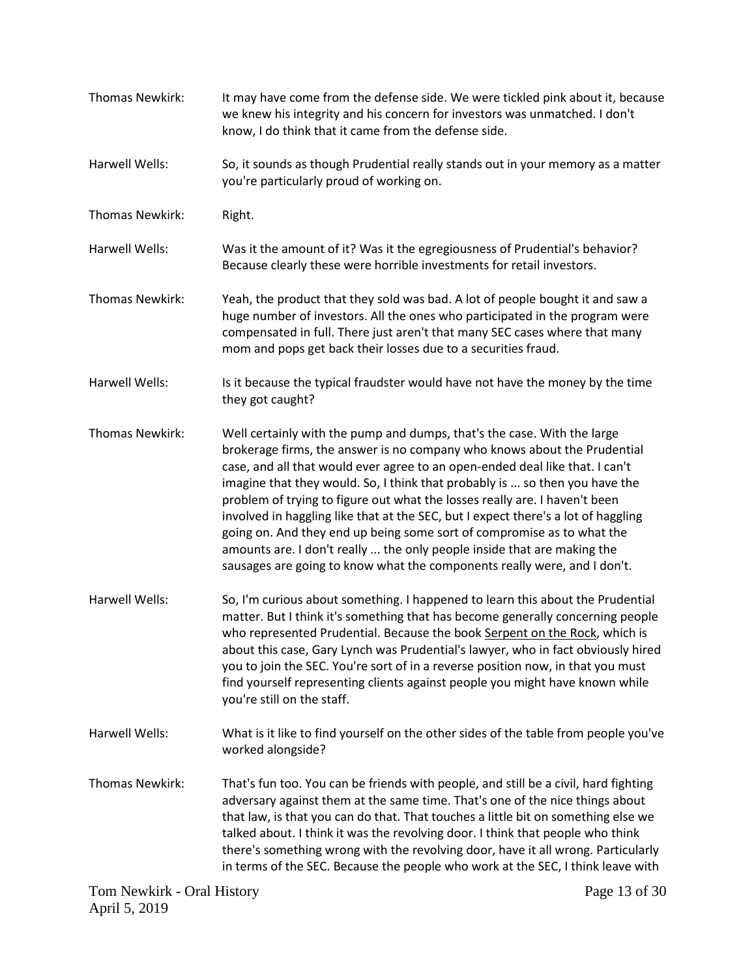| Thomas Newkirk:       | It may have come from the defense side. We were tickled pink about it, because<br>we knew his integrity and his concern for investors was unmatched. I don't<br>know, I do think that it came from the defense side.                                                                                                                                                                                                                                                                                                                                                                                                                                                                                                   |
|-----------------------|------------------------------------------------------------------------------------------------------------------------------------------------------------------------------------------------------------------------------------------------------------------------------------------------------------------------------------------------------------------------------------------------------------------------------------------------------------------------------------------------------------------------------------------------------------------------------------------------------------------------------------------------------------------------------------------------------------------------|
| <b>Harwell Wells:</b> | So, it sounds as though Prudential really stands out in your memory as a matter<br>you're particularly proud of working on.                                                                                                                                                                                                                                                                                                                                                                                                                                                                                                                                                                                            |
| Thomas Newkirk:       | Right.                                                                                                                                                                                                                                                                                                                                                                                                                                                                                                                                                                                                                                                                                                                 |
| <b>Harwell Wells:</b> | Was it the amount of it? Was it the egregiousness of Prudential's behavior?<br>Because clearly these were horrible investments for retail investors.                                                                                                                                                                                                                                                                                                                                                                                                                                                                                                                                                                   |
| Thomas Newkirk:       | Yeah, the product that they sold was bad. A lot of people bought it and saw a<br>huge number of investors. All the ones who participated in the program were<br>compensated in full. There just aren't that many SEC cases where that many<br>mom and pops get back their losses due to a securities fraud.                                                                                                                                                                                                                                                                                                                                                                                                            |
| Harwell Wells:        | Is it because the typical fraudster would have not have the money by the time<br>they got caught?                                                                                                                                                                                                                                                                                                                                                                                                                                                                                                                                                                                                                      |
| Thomas Newkirk:       | Well certainly with the pump and dumps, that's the case. With the large<br>brokerage firms, the answer is no company who knows about the Prudential<br>case, and all that would ever agree to an open-ended deal like that. I can't<br>imagine that they would. So, I think that probably is  so then you have the<br>problem of trying to figure out what the losses really are. I haven't been<br>involved in haggling like that at the SEC, but I expect there's a lot of haggling<br>going on. And they end up being some sort of compromise as to what the<br>amounts are. I don't really  the only people inside that are making the<br>sausages are going to know what the components really were, and I don't. |
| Harwell Wells:        | So, I'm curious about something. I happened to learn this about the Prudential<br>matter. But I think it's something that has become generally concerning people<br>who represented Prudential. Because the book Serpent on the Rock, which is<br>about this case, Gary Lynch was Prudential's lawyer, who in fact obviously hired<br>you to join the SEC. You're sort of in a reverse position now, in that you must<br>find yourself representing clients against people you might have known while<br>you're still on the staff.                                                                                                                                                                                    |
| Harwell Wells:        | What is it like to find yourself on the other sides of the table from people you've<br>worked alongside?                                                                                                                                                                                                                                                                                                                                                                                                                                                                                                                                                                                                               |
| Thomas Newkirk:       | That's fun too. You can be friends with people, and still be a civil, hard fighting<br>adversary against them at the same time. That's one of the nice things about<br>that law, is that you can do that. That touches a little bit on something else we<br>talked about. I think it was the revolving door. I think that people who think<br>there's something wrong with the revolving door, have it all wrong. Particularly<br>in terms of the SEC. Because the people who work at the SEC, I think leave with                                                                                                                                                                                                      |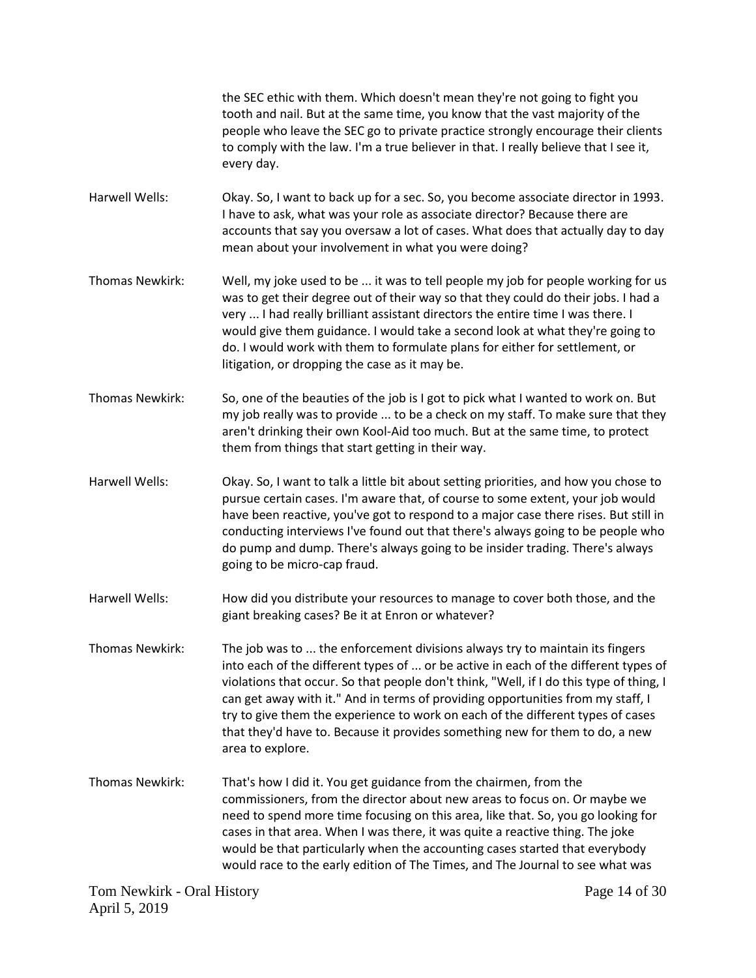the SEC ethic with them. Which doesn't mean they're not going to fight you tooth and nail. But at the same time, you know that the vast majority of the people who leave the SEC go to private practice strongly encourage their clients to comply with the law. I'm a true believer in that. I really believe that I see it, every day.

Harwell Wells: Okay. So, I want to back up for a sec. So, you become associate director in 1993. I have to ask, what was your role as associate director? Because there are accounts that say you oversaw a lot of cases. What does that actually day to day mean about your involvement in what you were doing?

- Thomas Newkirk: Well, my joke used to be ... it was to tell people my job for people working for us was to get their degree out of their way so that they could do their jobs. I had a very ... I had really brilliant assistant directors the entire time I was there. I would give them guidance. I would take a second look at what they're going to do. I would work with them to formulate plans for either for settlement, or litigation, or dropping the case as it may be.
- Thomas Newkirk: So, one of the beauties of the job is I got to pick what I wanted to work on. But my job really was to provide ... to be a check on my staff. To make sure that they aren't drinking their own Kool-Aid too much. But at the same time, to protect them from things that start getting in their way.
- Harwell Wells: Okay. So, I want to talk a little bit about setting priorities, and how you chose to pursue certain cases. I'm aware that, of course to some extent, your job would have been reactive, you've got to respond to a major case there rises. But still in conducting interviews I've found out that there's always going to be people who do pump and dump. There's always going to be insider trading. There's always going to be micro-cap fraud.

Harwell Wells: How did you distribute your resources to manage to cover both those, and the giant breaking cases? Be it at Enron or whatever?

- Thomas Newkirk: The job was to ... the enforcement divisions always try to maintain its fingers into each of the different types of ... or be active in each of the different types of violations that occur. So that people don't think, "Well, if I do this type of thing, I can get away with it." And in terms of providing opportunities from my staff, I try to give them the experience to work on each of the different types of cases that they'd have to. Because it provides something new for them to do, a new area to explore.
- Thomas Newkirk: That's how I did it. You get guidance from the chairmen, from the commissioners, from the director about new areas to focus on. Or maybe we need to spend more time focusing on this area, like that. So, you go looking for cases in that area. When I was there, it was quite a reactive thing. The joke would be that particularly when the accounting cases started that everybody would race to the early edition of The Times, and The Journal to see what was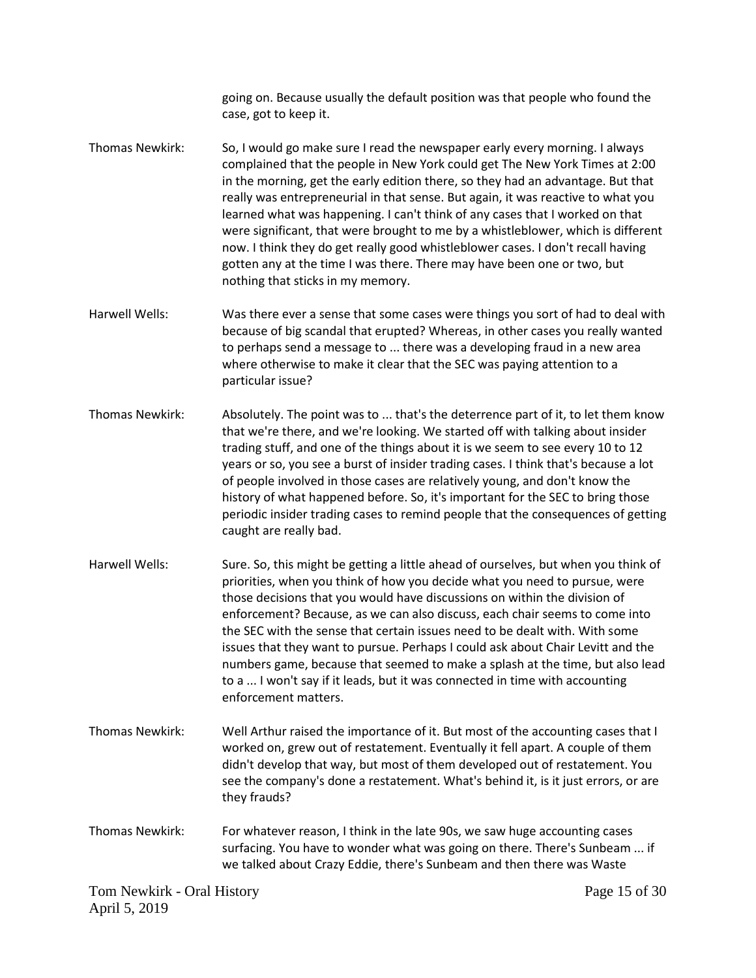going on. Because usually the default position was that people who found the case, got to keep it.

- Thomas Newkirk: So, I would go make sure I read the newspaper early every morning. I always complained that the people in New York could get The New York Times at 2:00 in the morning, get the early edition there, so they had an advantage. But that really was entrepreneurial in that sense. But again, it was reactive to what you learned what was happening. I can't think of any cases that I worked on that were significant, that were brought to me by a whistleblower, which is different now. I think they do get really good whistleblower cases. I don't recall having gotten any at the time I was there. There may have been one or two, but nothing that sticks in my memory.
- Harwell Wells: Was there ever a sense that some cases were things you sort of had to deal with because of big scandal that erupted? Whereas, in other cases you really wanted to perhaps send a message to ... there was a developing fraud in a new area where otherwise to make it clear that the SEC was paying attention to a particular issue?
- Thomas Newkirk: Absolutely. The point was to ... that's the deterrence part of it, to let them know that we're there, and we're looking. We started off with talking about insider trading stuff, and one of the things about it is we seem to see every 10 to 12 years or so, you see a burst of insider trading cases. I think that's because a lot of people involved in those cases are relatively young, and don't know the history of what happened before. So, it's important for the SEC to bring those periodic insider trading cases to remind people that the consequences of getting caught are really bad.
- Harwell Wells: Sure. So, this might be getting a little ahead of ourselves, but when you think of priorities, when you think of how you decide what you need to pursue, were those decisions that you would have discussions on within the division of enforcement? Because, as we can also discuss, each chair seems to come into the SEC with the sense that certain issues need to be dealt with. With some issues that they want to pursue. Perhaps I could ask about Chair Levitt and the numbers game, because that seemed to make a splash at the time, but also lead to a ... I won't say if it leads, but it was connected in time with accounting enforcement matters.
- Thomas Newkirk: Well Arthur raised the importance of it. But most of the accounting cases that I worked on, grew out of restatement. Eventually it fell apart. A couple of them didn't develop that way, but most of them developed out of restatement. You see the company's done a restatement. What's behind it, is it just errors, or are they frauds?
- Thomas Newkirk: For whatever reason, I think in the late 90s, we saw huge accounting cases surfacing. You have to wonder what was going on there. There's Sunbeam ... if we talked about Crazy Eddie, there's Sunbeam and then there was Waste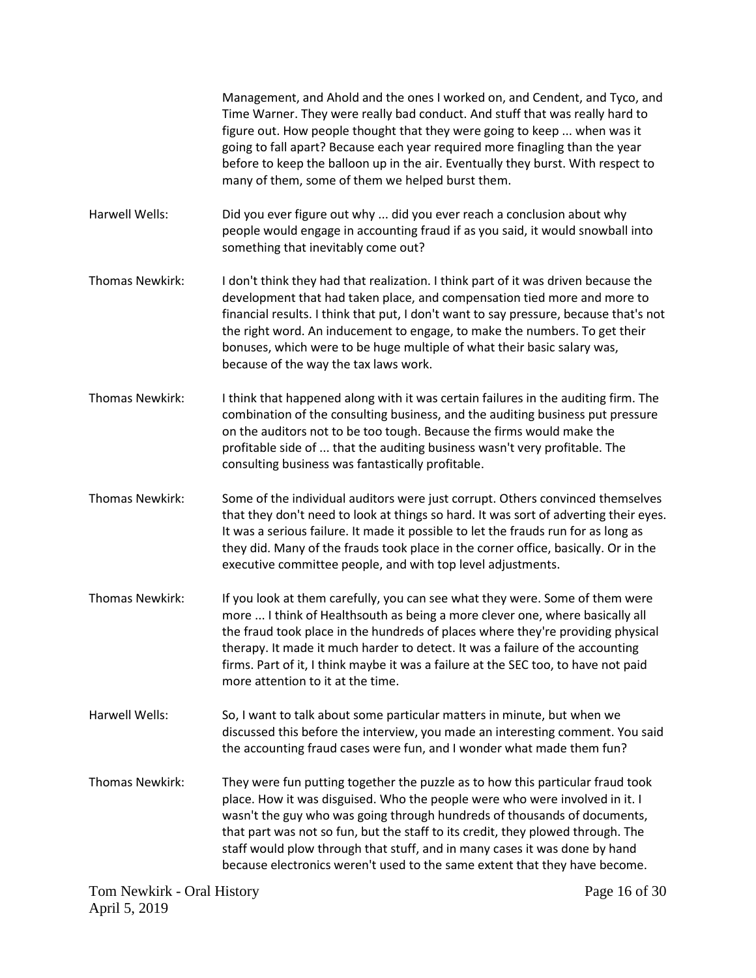|                        | Management, and Ahold and the ones I worked on, and Cendent, and Tyco, and<br>Time Warner. They were really bad conduct. And stuff that was really hard to<br>figure out. How people thought that they were going to keep  when was it<br>going to fall apart? Because each year required more finagling than the year<br>before to keep the balloon up in the air. Eventually they burst. With respect to<br>many of them, some of them we helped burst them.                           |
|------------------------|------------------------------------------------------------------------------------------------------------------------------------------------------------------------------------------------------------------------------------------------------------------------------------------------------------------------------------------------------------------------------------------------------------------------------------------------------------------------------------------|
| Harwell Wells:         | Did you ever figure out why  did you ever reach a conclusion about why<br>people would engage in accounting fraud if as you said, it would snowball into<br>something that inevitably come out?                                                                                                                                                                                                                                                                                          |
| Thomas Newkirk:        | I don't think they had that realization. I think part of it was driven because the<br>development that had taken place, and compensation tied more and more to<br>financial results. I think that put, I don't want to say pressure, because that's not<br>the right word. An inducement to engage, to make the numbers. To get their<br>bonuses, which were to be huge multiple of what their basic salary was,<br>because of the way the tax laws work.                                |
| Thomas Newkirk:        | I think that happened along with it was certain failures in the auditing firm. The<br>combination of the consulting business, and the auditing business put pressure<br>on the auditors not to be too tough. Because the firms would make the<br>profitable side of  that the auditing business wasn't very profitable. The<br>consulting business was fantastically profitable.                                                                                                         |
| <b>Thomas Newkirk:</b> | Some of the individual auditors were just corrupt. Others convinced themselves<br>that they don't need to look at things so hard. It was sort of adverting their eyes.<br>It was a serious failure. It made it possible to let the frauds run for as long as<br>they did. Many of the frauds took place in the corner office, basically. Or in the<br>executive committee people, and with top level adjustments.                                                                        |
| <b>Thomas Newkirk:</b> | If you look at them carefully, you can see what they were. Some of them were<br>more  I think of Healthsouth as being a more clever one, where basically all<br>the fraud took place in the hundreds of places where they're providing physical<br>therapy. It made it much harder to detect. It was a failure of the accounting<br>firms. Part of it, I think maybe it was a failure at the SEC too, to have not paid<br>more attention to it at the time.                              |
| Harwell Wells:         | So, I want to talk about some particular matters in minute, but when we<br>discussed this before the interview, you made an interesting comment. You said<br>the accounting fraud cases were fun, and I wonder what made them fun?                                                                                                                                                                                                                                                       |
| Thomas Newkirk:        | They were fun putting together the puzzle as to how this particular fraud took<br>place. How it was disguised. Who the people were who were involved in it. I<br>wasn't the guy who was going through hundreds of thousands of documents,<br>that part was not so fun, but the staff to its credit, they plowed through. The<br>staff would plow through that stuff, and in many cases it was done by hand<br>because electronics weren't used to the same extent that they have become. |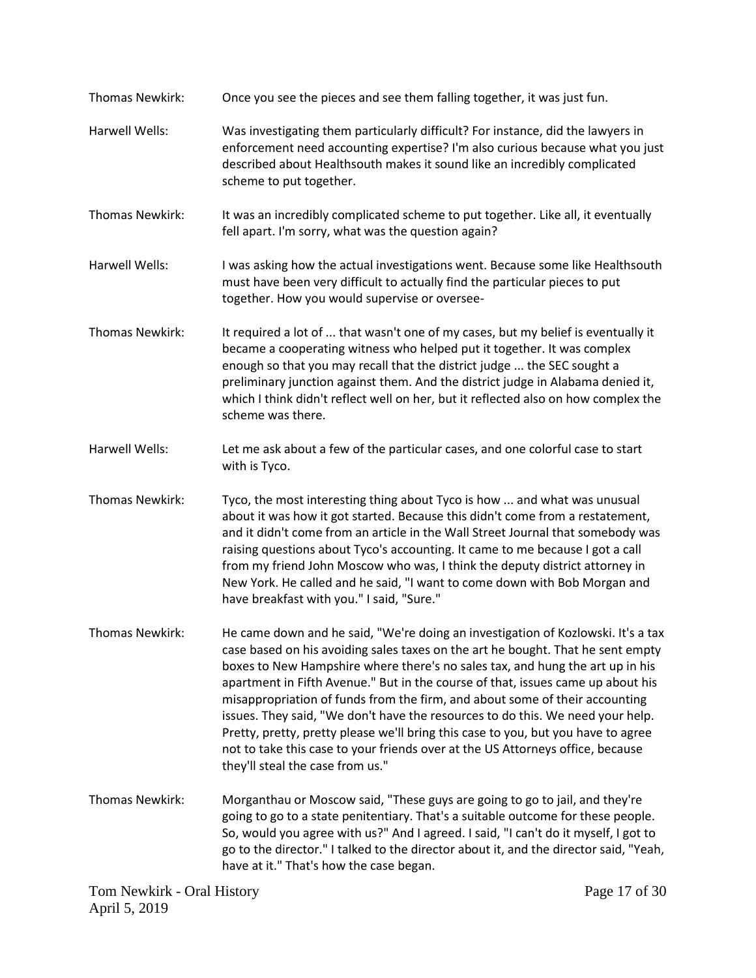Tom Newkirk - Oral History Page 17 of 30 Thomas Newkirk: Once you see the pieces and see them falling together, it was just fun. Harwell Wells: Was investigating them particularly difficult? For instance, did the lawyers in enforcement need accounting expertise? I'm also curious because what you just described about Healthsouth makes it sound like an incredibly complicated scheme to put together. Thomas Newkirk: It was an incredibly complicated scheme to put together. Like all, it eventually fell apart. I'm sorry, what was the question again? Harwell Wells: I was asking how the actual investigations went. Because some like Healthsouth must have been very difficult to actually find the particular pieces to put together. How you would supervise or oversee-Thomas Newkirk: It required a lot of ... that wasn't one of my cases, but my belief is eventually it became a cooperating witness who helped put it together. It was complex enough so that you may recall that the district judge ... the SEC sought a preliminary junction against them. And the district judge in Alabama denied it, which I think didn't reflect well on her, but it reflected also on how complex the scheme was there. Harwell Wells: Let me ask about a few of the particular cases, and one colorful case to start with is Tyco. Thomas Newkirk: Tyco, the most interesting thing about Tyco is how ... and what was unusual about it was how it got started. Because this didn't come from a restatement, and it didn't come from an article in the Wall Street Journal that somebody was raising questions about Tyco's accounting. It came to me because I got a call from my friend John Moscow who was, I think the deputy district attorney in New York. He called and he said, "I want to come down with Bob Morgan and have breakfast with you." I said, "Sure." Thomas Newkirk: He came down and he said, "We're doing an investigation of Kozlowski. It's a tax case based on his avoiding sales taxes on the art he bought. That he sent empty boxes to New Hampshire where there's no sales tax, and hung the art up in his apartment in Fifth Avenue." But in the course of that, issues came up about his misappropriation of funds from the firm, and about some of their accounting issues. They said, "We don't have the resources to do this. We need your help. Pretty, pretty, pretty please we'll bring this case to you, but you have to agree not to take this case to your friends over at the US Attorneys office, because they'll steal the case from us." Thomas Newkirk: Morganthau or Moscow said, "These guys are going to go to jail, and they're going to go to a state penitentiary. That's a suitable outcome for these people. So, would you agree with us?" And I agreed. I said, "I can't do it myself, I got to go to the director." I talked to the director about it, and the director said, "Yeah, have at it." That's how the case began.

April 5, 2019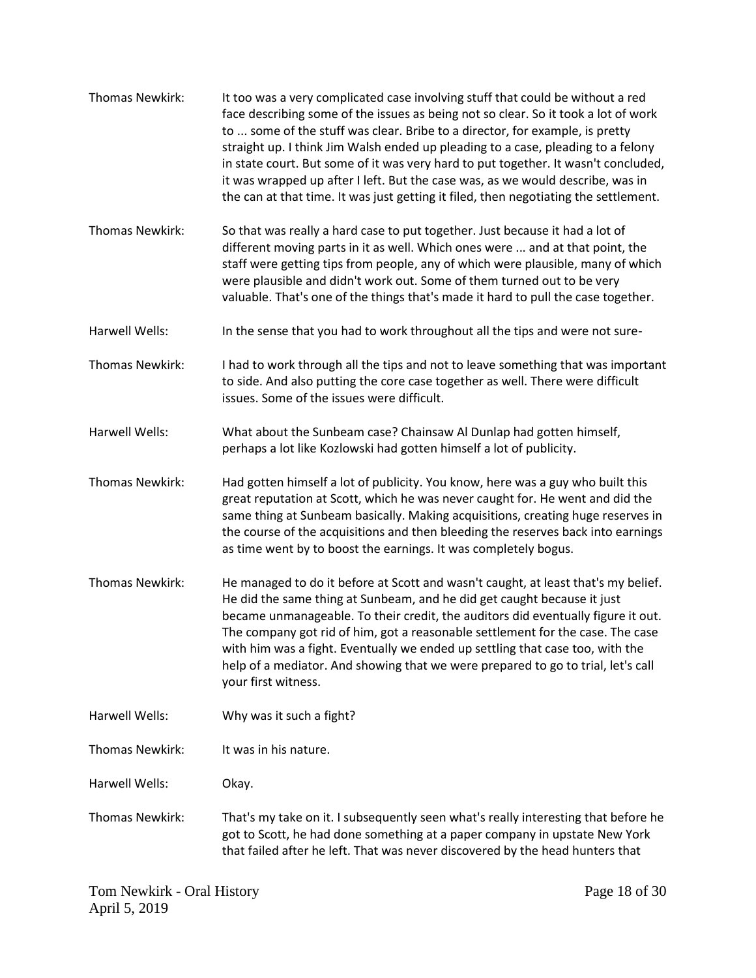| Thomas Newkirk:        | It too was a very complicated case involving stuff that could be without a red<br>face describing some of the issues as being not so clear. So it took a lot of work<br>to  some of the stuff was clear. Bribe to a director, for example, is pretty<br>straight up. I think Jim Walsh ended up pleading to a case, pleading to a felony<br>in state court. But some of it was very hard to put together. It wasn't concluded,<br>it was wrapped up after I left. But the case was, as we would describe, was in<br>the can at that time. It was just getting it filed, then negotiating the settlement. |
|------------------------|----------------------------------------------------------------------------------------------------------------------------------------------------------------------------------------------------------------------------------------------------------------------------------------------------------------------------------------------------------------------------------------------------------------------------------------------------------------------------------------------------------------------------------------------------------------------------------------------------------|
| Thomas Newkirk:        | So that was really a hard case to put together. Just because it had a lot of<br>different moving parts in it as well. Which ones were  and at that point, the<br>staff were getting tips from people, any of which were plausible, many of which<br>were plausible and didn't work out. Some of them turned out to be very<br>valuable. That's one of the things that's made it hard to pull the case together.                                                                                                                                                                                          |
| Harwell Wells:         | In the sense that you had to work throughout all the tips and were not sure-                                                                                                                                                                                                                                                                                                                                                                                                                                                                                                                             |
| <b>Thomas Newkirk:</b> | I had to work through all the tips and not to leave something that was important<br>to side. And also putting the core case together as well. There were difficult<br>issues. Some of the issues were difficult.                                                                                                                                                                                                                                                                                                                                                                                         |
| Harwell Wells:         | What about the Sunbeam case? Chainsaw Al Dunlap had gotten himself,<br>perhaps a lot like Kozlowski had gotten himself a lot of publicity.                                                                                                                                                                                                                                                                                                                                                                                                                                                               |
| Thomas Newkirk:        | Had gotten himself a lot of publicity. You know, here was a guy who built this<br>great reputation at Scott, which he was never caught for. He went and did the<br>same thing at Sunbeam basically. Making acquisitions, creating huge reserves in<br>the course of the acquisitions and then bleeding the reserves back into earnings<br>as time went by to boost the earnings. It was completely bogus.                                                                                                                                                                                                |
| Thomas Newkirk:        | He managed to do it before at Scott and wasn't caught, at least that's my belief.<br>He did the same thing at Sunbeam, and he did get caught because it just<br>became unmanageable. To their credit, the auditors did eventually figure it out.<br>The company got rid of him, got a reasonable settlement for the case. The case<br>with him was a fight. Eventually we ended up settling that case too, with the<br>help of a mediator. And showing that we were prepared to go to trial, let's call<br>your first witness.                                                                           |
| Harwell Wells:         | Why was it such a fight?                                                                                                                                                                                                                                                                                                                                                                                                                                                                                                                                                                                 |
| <b>Thomas Newkirk:</b> | It was in his nature.                                                                                                                                                                                                                                                                                                                                                                                                                                                                                                                                                                                    |
| Harwell Wells:         | Okay.                                                                                                                                                                                                                                                                                                                                                                                                                                                                                                                                                                                                    |
| Thomas Newkirk:        | That's my take on it. I subsequently seen what's really interesting that before he<br>got to Scott, he had done something at a paper company in upstate New York<br>that failed after he left. That was never discovered by the head hunters that                                                                                                                                                                                                                                                                                                                                                        |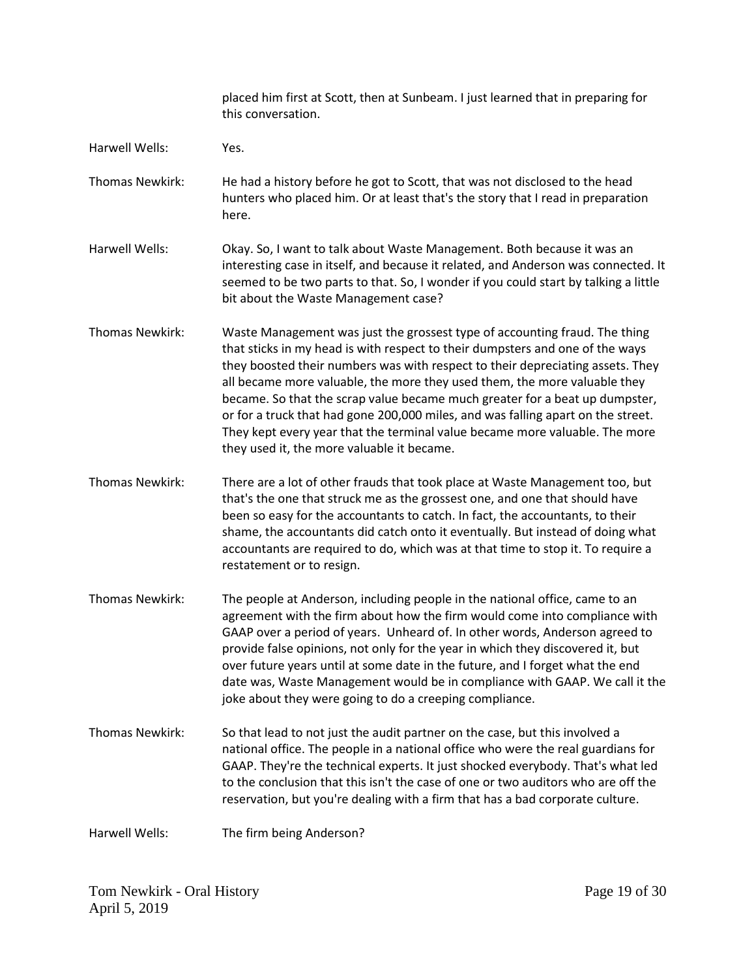|                 | placed him first at Scott, then at Sunbeam. I just learned that in preparing for<br>this conversation.                                                                                                                                                                                                                                                                                                                                                                                                                                                                                                                     |
|-----------------|----------------------------------------------------------------------------------------------------------------------------------------------------------------------------------------------------------------------------------------------------------------------------------------------------------------------------------------------------------------------------------------------------------------------------------------------------------------------------------------------------------------------------------------------------------------------------------------------------------------------------|
| Harwell Wells:  | Yes.                                                                                                                                                                                                                                                                                                                                                                                                                                                                                                                                                                                                                       |
| Thomas Newkirk: | He had a history before he got to Scott, that was not disclosed to the head<br>hunters who placed him. Or at least that's the story that I read in preparation<br>here.                                                                                                                                                                                                                                                                                                                                                                                                                                                    |
| Harwell Wells:  | Okay. So, I want to talk about Waste Management. Both because it was an<br>interesting case in itself, and because it related, and Anderson was connected. It<br>seemed to be two parts to that. So, I wonder if you could start by talking a little<br>bit about the Waste Management case?                                                                                                                                                                                                                                                                                                                               |
| Thomas Newkirk: | Waste Management was just the grossest type of accounting fraud. The thing<br>that sticks in my head is with respect to their dumpsters and one of the ways<br>they boosted their numbers was with respect to their depreciating assets. They<br>all became more valuable, the more they used them, the more valuable they<br>became. So that the scrap value became much greater for a beat up dumpster,<br>or for a truck that had gone 200,000 miles, and was falling apart on the street.<br>They kept every year that the terminal value became more valuable. The more<br>they used it, the more valuable it became. |
| Thomas Newkirk: | There are a lot of other frauds that took place at Waste Management too, but<br>that's the one that struck me as the grossest one, and one that should have<br>been so easy for the accountants to catch. In fact, the accountants, to their<br>shame, the accountants did catch onto it eventually. But instead of doing what<br>accountants are required to do, which was at that time to stop it. To require a<br>restatement or to resign.                                                                                                                                                                             |
| Thomas Newkirk: | The people at Anderson, including people in the national office, came to an<br>agreement with the firm about how the firm would come into compliance with<br>GAAP over a period of years. Unheard of. In other words, Anderson agreed to<br>provide false opinions, not only for the year in which they discovered it, but<br>over future years until at some date in the future, and I forget what the end<br>date was, Waste Management would be in compliance with GAAP. We call it the<br>joke about they were going to do a creeping compliance.                                                                      |
| Thomas Newkirk: | So that lead to not just the audit partner on the case, but this involved a<br>national office. The people in a national office who were the real guardians for<br>GAAP. They're the technical experts. It just shocked everybody. That's what led<br>to the conclusion that this isn't the case of one or two auditors who are off the<br>reservation, but you're dealing with a firm that has a bad corporate culture.                                                                                                                                                                                                   |
| Harwell Wells:  | The firm being Anderson?                                                                                                                                                                                                                                                                                                                                                                                                                                                                                                                                                                                                   |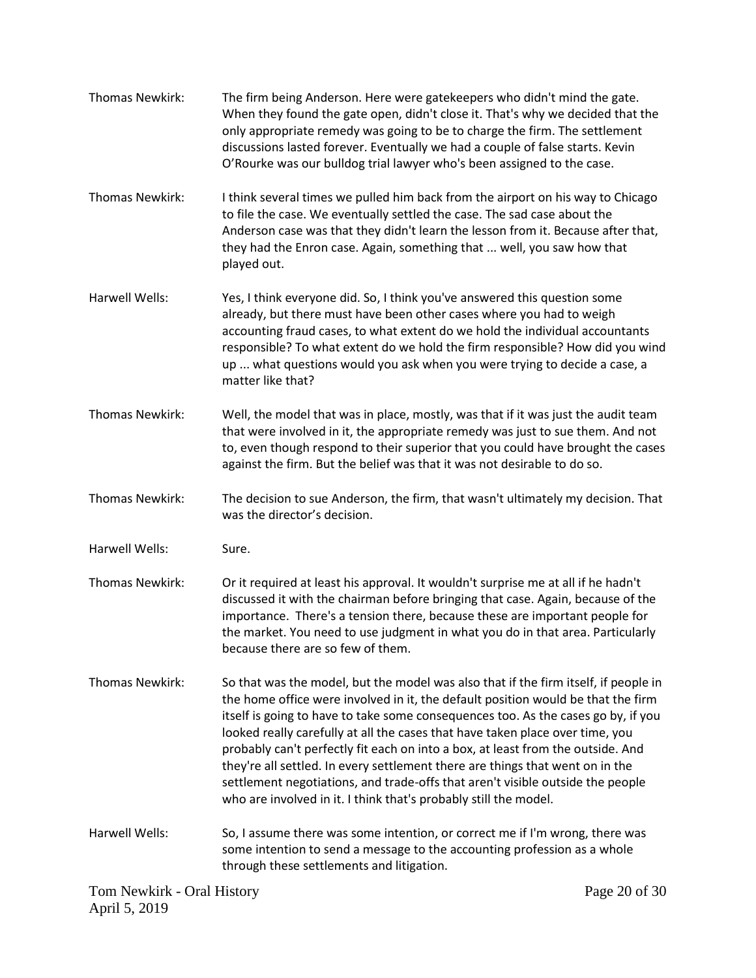Tom Newkirk - Oral History Page 20 of 30 Thomas Newkirk: The firm being Anderson. Here were gatekeepers who didn't mind the gate. When they found the gate open, didn't close it. That's why we decided that the only appropriate remedy was going to be to charge the firm. The settlement discussions lasted forever. Eventually we had a couple of false starts. Kevin O'Rourke was our bulldog trial lawyer who's been assigned to the case. Thomas Newkirk: I think several times we pulled him back from the airport on his way to Chicago to file the case. We eventually settled the case. The sad case about the Anderson case was that they didn't learn the lesson from it. Because after that, they had the Enron case. Again, something that ... well, you saw how that played out. Harwell Wells: Yes, I think everyone did. So, I think you've answered this question some already, but there must have been other cases where you had to weigh accounting fraud cases, to what extent do we hold the individual accountants responsible? To what extent do we hold the firm responsible? How did you wind up ... what questions would you ask when you were trying to decide a case, a matter like that? Thomas Newkirk: Well, the model that was in place, mostly, was that if it was just the audit team that were involved in it, the appropriate remedy was just to sue them. And not to, even though respond to their superior that you could have brought the cases against the firm. But the belief was that it was not desirable to do so. Thomas Newkirk: The decision to sue Anderson, the firm, that wasn't ultimately my decision. That was the director's decision. Harwell Wells: Sure. Thomas Newkirk: Or it required at least his approval. It wouldn't surprise me at all if he hadn't discussed it with the chairman before bringing that case. Again, because of the importance. There's a tension there, because these are important people for the market. You need to use judgment in what you do in that area. Particularly because there are so few of them. Thomas Newkirk: So that was the model, but the model was also that if the firm itself, if people in the home office were involved in it, the default position would be that the firm itself is going to have to take some consequences too. As the cases go by, if you looked really carefully at all the cases that have taken place over time, you probably can't perfectly fit each on into a box, at least from the outside. And they're all settled. In every settlement there are things that went on in the settlement negotiations, and trade-offs that aren't visible outside the people who are involved in it. I think that's probably still the model. Harwell Wells: So, I assume there was some intention, or correct me if I'm wrong, there was some intention to send a message to the accounting profession as a whole through these settlements and litigation.

April 5, 2019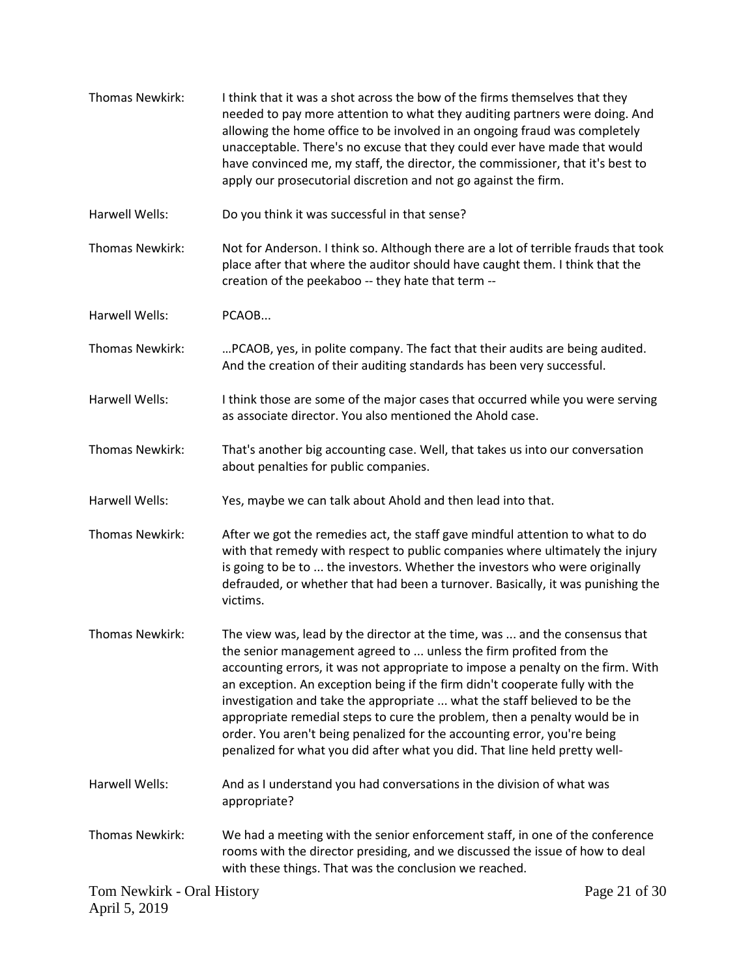| Thomas Newkirk:                             | I think that it was a shot across the bow of the firms themselves that they<br>needed to pay more attention to what they auditing partners were doing. And<br>allowing the home office to be involved in an ongoing fraud was completely<br>unacceptable. There's no excuse that they could ever have made that would<br>have convinced me, my staff, the director, the commissioner, that it's best to<br>apply our prosecutorial discretion and not go against the firm.                                                                                                                                                                |               |
|---------------------------------------------|-------------------------------------------------------------------------------------------------------------------------------------------------------------------------------------------------------------------------------------------------------------------------------------------------------------------------------------------------------------------------------------------------------------------------------------------------------------------------------------------------------------------------------------------------------------------------------------------------------------------------------------------|---------------|
| Harwell Wells:                              | Do you think it was successful in that sense?                                                                                                                                                                                                                                                                                                                                                                                                                                                                                                                                                                                             |               |
| Thomas Newkirk:                             | Not for Anderson. I think so. Although there are a lot of terrible frauds that took<br>place after that where the auditor should have caught them. I think that the<br>creation of the peekaboo -- they hate that term --                                                                                                                                                                                                                                                                                                                                                                                                                 |               |
| Harwell Wells:                              | PCAOB                                                                                                                                                                                                                                                                                                                                                                                                                                                                                                                                                                                                                                     |               |
| Thomas Newkirk:                             | PCAOB, yes, in polite company. The fact that their audits are being audited.<br>And the creation of their auditing standards has been very successful.                                                                                                                                                                                                                                                                                                                                                                                                                                                                                    |               |
| <b>Harwell Wells:</b>                       | I think those are some of the major cases that occurred while you were serving<br>as associate director. You also mentioned the Ahold case.                                                                                                                                                                                                                                                                                                                                                                                                                                                                                               |               |
| Thomas Newkirk:                             | That's another big accounting case. Well, that takes us into our conversation<br>about penalties for public companies.                                                                                                                                                                                                                                                                                                                                                                                                                                                                                                                    |               |
| Harwell Wells:                              | Yes, maybe we can talk about Ahold and then lead into that.                                                                                                                                                                                                                                                                                                                                                                                                                                                                                                                                                                               |               |
| Thomas Newkirk:                             | After we got the remedies act, the staff gave mindful attention to what to do<br>with that remedy with respect to public companies where ultimately the injury<br>is going to be to  the investors. Whether the investors who were originally<br>defrauded, or whether that had been a turnover. Basically, it was punishing the<br>victims.                                                                                                                                                                                                                                                                                              |               |
| <b>Thomas Newkirk:</b>                      | The view was, lead by the director at the time, was  and the consensus that<br>the senior management agreed to  unless the firm profited from the<br>accounting errors, it was not appropriate to impose a penalty on the firm. With<br>an exception. An exception being if the firm didn't cooperate fully with the<br>investigation and take the appropriate  what the staff believed to be the<br>appropriate remedial steps to cure the problem, then a penalty would be in<br>order. You aren't being penalized for the accounting error, you're being<br>penalized for what you did after what you did. That line held pretty well- |               |
| Harwell Wells:                              | And as I understand you had conversations in the division of what was<br>appropriate?                                                                                                                                                                                                                                                                                                                                                                                                                                                                                                                                                     |               |
| Thomas Newkirk:                             | We had a meeting with the senior enforcement staff, in one of the conference<br>rooms with the director presiding, and we discussed the issue of how to deal<br>with these things. That was the conclusion we reached.                                                                                                                                                                                                                                                                                                                                                                                                                    |               |
| Tom Newkirk - Oral History<br>April 5, 2019 |                                                                                                                                                                                                                                                                                                                                                                                                                                                                                                                                                                                                                                           | Page 21 of 30 |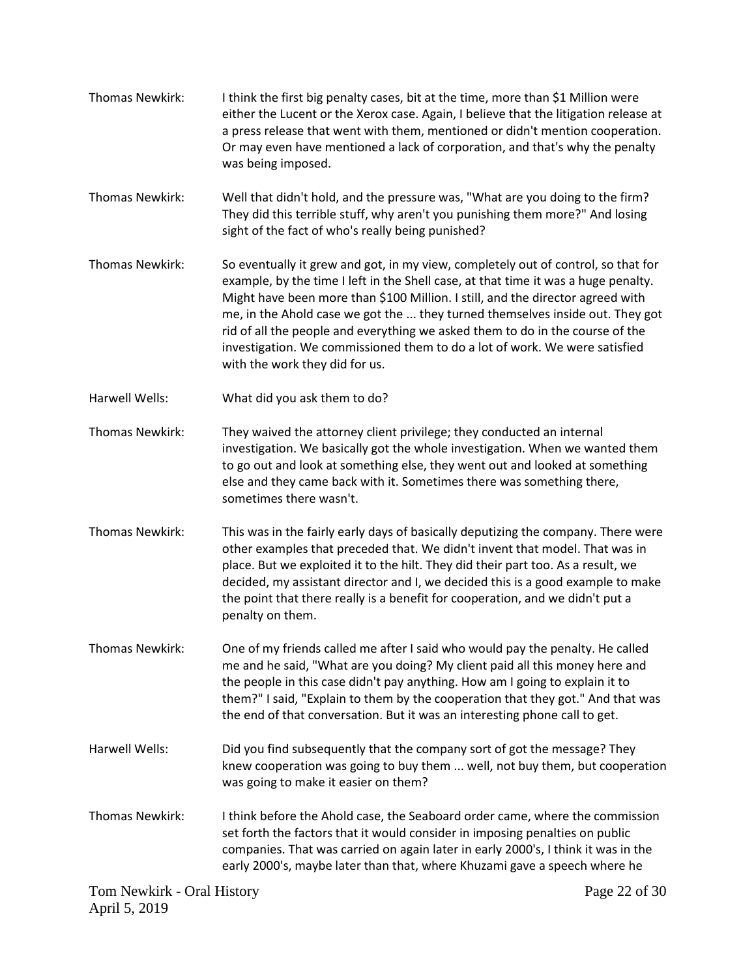- Thomas Newkirk: I think the first big penalty cases, bit at the time, more than \$1 Million were either the Lucent or the Xerox case. Again, I believe that the litigation release at a press release that went with them, mentioned or didn't mention cooperation. Or may even have mentioned a lack of corporation, and that's why the penalty was being imposed.
- Thomas Newkirk: Well that didn't hold, and the pressure was, "What are you doing to the firm? They did this terrible stuff, why aren't you punishing them more?" And losing sight of the fact of who's really being punished?
- Thomas Newkirk: So eventually it grew and got, in my view, completely out of control, so that for example, by the time I left in the Shell case, at that time it was a huge penalty. Might have been more than \$100 Million. I still, and the director agreed with me, in the Ahold case we got the ... they turned themselves inside out. They got rid of all the people and everything we asked them to do in the course of the investigation. We commissioned them to do a lot of work. We were satisfied with the work they did for us.
- Harwell Wells: What did you ask them to do?
- Thomas Newkirk: They waived the attorney client privilege; they conducted an internal investigation. We basically got the whole investigation. When we wanted them to go out and look at something else, they went out and looked at something else and they came back with it. Sometimes there was something there, sometimes there wasn't.
- Thomas Newkirk: This was in the fairly early days of basically deputizing the company. There were other examples that preceded that. We didn't invent that model. That was in place. But we exploited it to the hilt. They did their part too. As a result, we decided, my assistant director and I, we decided this is a good example to make the point that there really is a benefit for cooperation, and we didn't put a penalty on them.
- Thomas Newkirk: One of my friends called me after I said who would pay the penalty. He called me and he said, "What are you doing? My client paid all this money here and the people in this case didn't pay anything. How am I going to explain it to them?" I said, "Explain to them by the cooperation that they got." And that was the end of that conversation. But it was an interesting phone call to get.
- Harwell Wells: Did you find subsequently that the company sort of got the message? They knew cooperation was going to buy them ... well, not buy them, but cooperation was going to make it easier on them?
- Thomas Newkirk: I think before the Ahold case, the Seaboard order came, where the commission set forth the factors that it would consider in imposing penalties on public companies. That was carried on again later in early 2000's, I think it was in the early 2000's, maybe later than that, where Khuzami gave a speech where he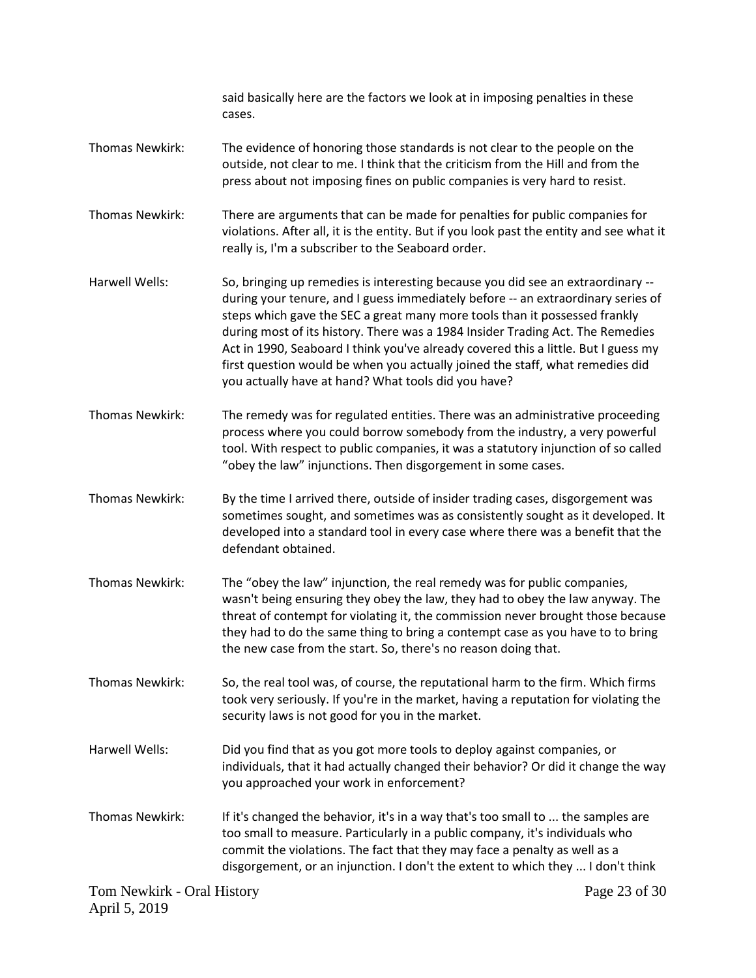Tom Newkirk - Oral History April 5, 2019 Page 23 of 30 said basically here are the factors we look at in imposing penalties in these cases. Thomas Newkirk: The evidence of honoring those standards is not clear to the people on the outside, not clear to me. I think that the criticism from the Hill and from the press about not imposing fines on public companies is very hard to resist. Thomas Newkirk: There are arguments that can be made for penalties for public companies for violations. After all, it is the entity. But if you look past the entity and see what it really is, I'm a subscriber to the Seaboard order. Harwell Wells: So, bringing up remedies is interesting because you did see an extraordinary -during your tenure, and I guess immediately before -- an extraordinary series of steps which gave the SEC a great many more tools than it possessed frankly during most of its history. There was a 1984 Insider Trading Act. The Remedies Act in 1990, Seaboard I think you've already covered this a little. But I guess my first question would be when you actually joined the staff, what remedies did you actually have at hand? What tools did you have? Thomas Newkirk: The remedy was for regulated entities. There was an administrative proceeding process where you could borrow somebody from the industry, a very powerful tool. With respect to public companies, it was a statutory injunction of so called "obey the law" injunctions. Then disgorgement in some cases. Thomas Newkirk: By the time I arrived there, outside of insider trading cases, disgorgement was sometimes sought, and sometimes was as consistently sought as it developed. It developed into a standard tool in every case where there was a benefit that the defendant obtained. Thomas Newkirk: The "obey the law" injunction, the real remedy was for public companies, wasn't being ensuring they obey the law, they had to obey the law anyway. The threat of contempt for violating it, the commission never brought those because they had to do the same thing to bring a contempt case as you have to to bring the new case from the start. So, there's no reason doing that. Thomas Newkirk: So, the real tool was, of course, the reputational harm to the firm. Which firms took very seriously. If you're in the market, having a reputation for violating the security laws is not good for you in the market. Harwell Wells: Did you find that as you got more tools to deploy against companies, or individuals, that it had actually changed their behavior? Or did it change the way you approached your work in enforcement? Thomas Newkirk: If it's changed the behavior, it's in a way that's too small to ... the samples are too small to measure. Particularly in a public company, it's individuals who commit the violations. The fact that they may face a penalty as well as a disgorgement, or an injunction. I don't the extent to which they ... I don't think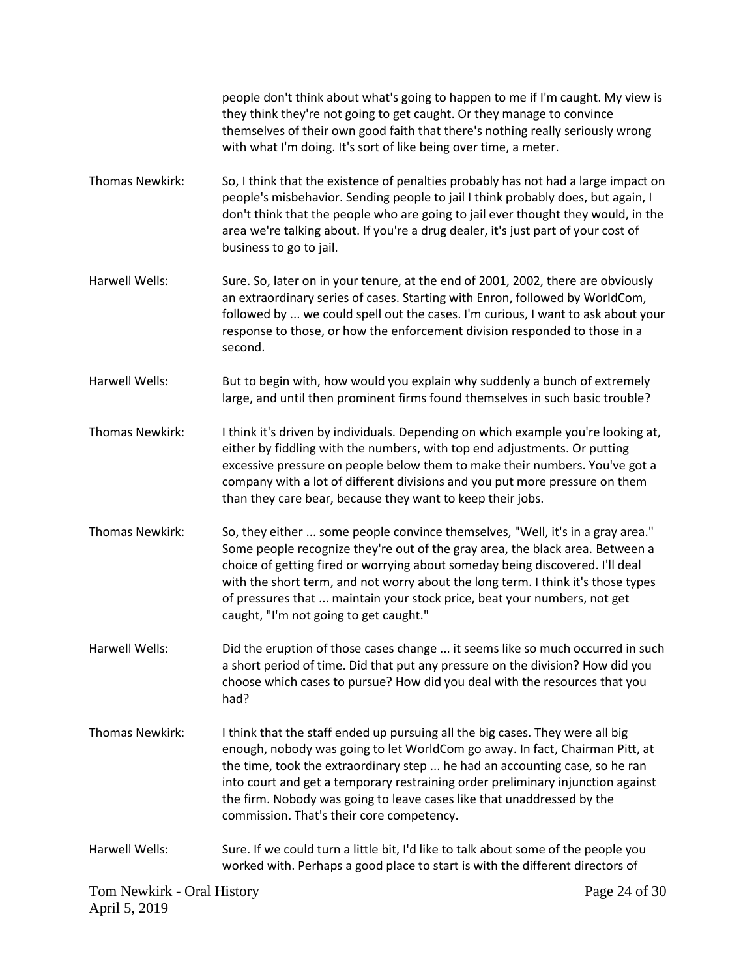people don't think about what's going to happen to me if I'm caught. My view is they think they're not going to get caught. Or they manage to convince themselves of their own good faith that there's nothing really seriously wrong with what I'm doing. It's sort of like being over time, a meter.

- Thomas Newkirk: So, I think that the existence of penalties probably has not had a large impact on people's misbehavior. Sending people to jail I think probably does, but again, I don't think that the people who are going to jail ever thought they would, in the area we're talking about. If you're a drug dealer, it's just part of your cost of business to go to jail.
- Harwell Wells: Sure. So, later on in your tenure, at the end of 2001, 2002, there are obviously an extraordinary series of cases. Starting with Enron, followed by WorldCom, followed by ... we could spell out the cases. I'm curious, I want to ask about your response to those, or how the enforcement division responded to those in a second.
- Harwell Wells: But to begin with, how would you explain why suddenly a bunch of extremely large, and until then prominent firms found themselves in such basic trouble?
- Thomas Newkirk: I think it's driven by individuals. Depending on which example you're looking at, either by fiddling with the numbers, with top end adjustments. Or putting excessive pressure on people below them to make their numbers. You've got a company with a lot of different divisions and you put more pressure on them than they care bear, because they want to keep their jobs.
- Thomas Newkirk: So, they either ... some people convince themselves, "Well, it's in a gray area." Some people recognize they're out of the gray area, the black area. Between a choice of getting fired or worrying about someday being discovered. I'll deal with the short term, and not worry about the long term. I think it's those types of pressures that ... maintain your stock price, beat your numbers, not get caught, "I'm not going to get caught."
- Harwell Wells: Did the eruption of those cases change ... it seems like so much occurred in such a short period of time. Did that put any pressure on the division? How did you choose which cases to pursue? How did you deal with the resources that you had?
- Thomas Newkirk: I think that the staff ended up pursuing all the big cases. They were all big enough, nobody was going to let WorldCom go away. In fact, Chairman Pitt, at the time, took the extraordinary step ... he had an accounting case, so he ran into court and get a temporary restraining order preliminary injunction against the firm. Nobody was going to leave cases like that unaddressed by the commission. That's their core competency.
- Harwell Wells: Sure. If we could turn a little bit, I'd like to talk about some of the people you worked with. Perhaps a good place to start is with the different directors of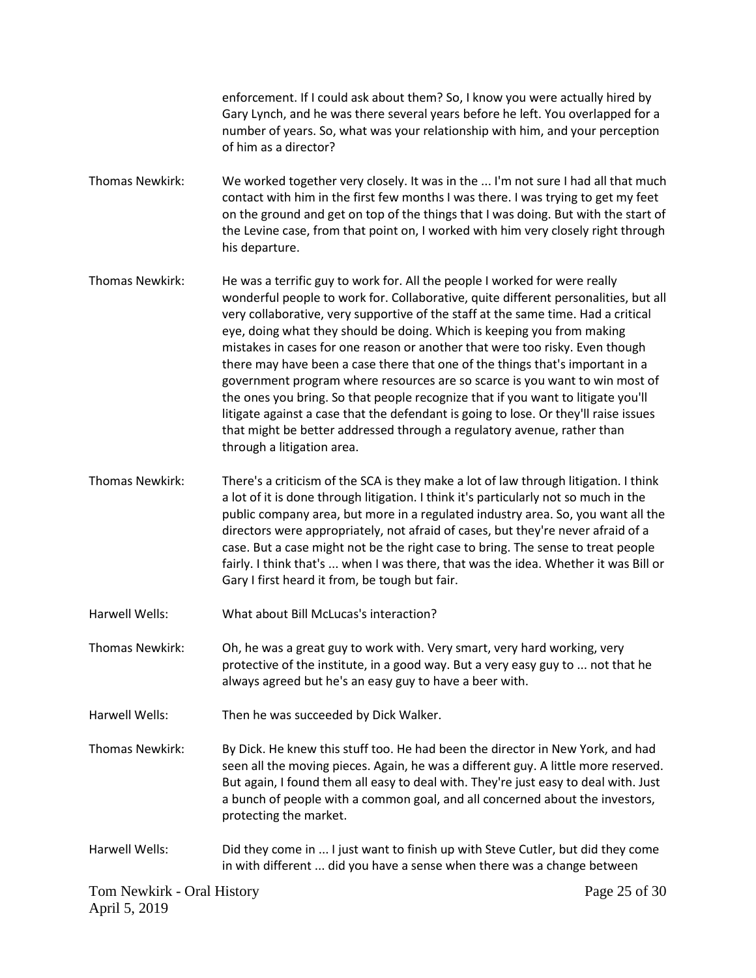enforcement. If I could ask about them? So, I know you were actually hired by Gary Lynch, and he was there several years before he left. You overlapped for a number of years. So, what was your relationship with him, and your perception of him as a director?

- Thomas Newkirk: We worked together very closely. It was in the ... I'm not sure I had all that much contact with him in the first few months I was there. I was trying to get my feet on the ground and get on top of the things that I was doing. But with the start of the Levine case, from that point on, I worked with him very closely right through his departure.
- Thomas Newkirk: He was a terrific guy to work for. All the people I worked for were really wonderful people to work for. Collaborative, quite different personalities, but all very collaborative, very supportive of the staff at the same time. Had a critical eye, doing what they should be doing. Which is keeping you from making mistakes in cases for one reason or another that were too risky. Even though there may have been a case there that one of the things that's important in a government program where resources are so scarce is you want to win most of the ones you bring. So that people recognize that if you want to litigate you'll litigate against a case that the defendant is going to lose. Or they'll raise issues that might be better addressed through a regulatory avenue, rather than through a litigation area.
- Thomas Newkirk: There's a criticism of the SCA is they make a lot of law through litigation. I think a lot of it is done through litigation. I think it's particularly not so much in the public company area, but more in a regulated industry area. So, you want all the directors were appropriately, not afraid of cases, but they're never afraid of a case. But a case might not be the right case to bring. The sense to treat people fairly. I think that's ... when I was there, that was the idea. Whether it was Bill or Gary I first heard it from, be tough but fair.
- Harwell Wells: What about Bill McLucas's interaction?
- Thomas Newkirk: Oh, he was a great guy to work with. Very smart, very hard working, very protective of the institute, in a good way. But a very easy guy to ... not that he always agreed but he's an easy guy to have a beer with.
- Harwell Wells: Then he was succeeded by Dick Walker.
- Thomas Newkirk: By Dick. He knew this stuff too. He had been the director in New York, and had seen all the moving pieces. Again, he was a different guy. A little more reserved. But again, I found them all easy to deal with. They're just easy to deal with. Just a bunch of people with a common goal, and all concerned about the investors, protecting the market.
- Harwell Wells: Did they come in ... I just want to finish up with Steve Cutler, but did they come in with different ... did you have a sense when there was a change between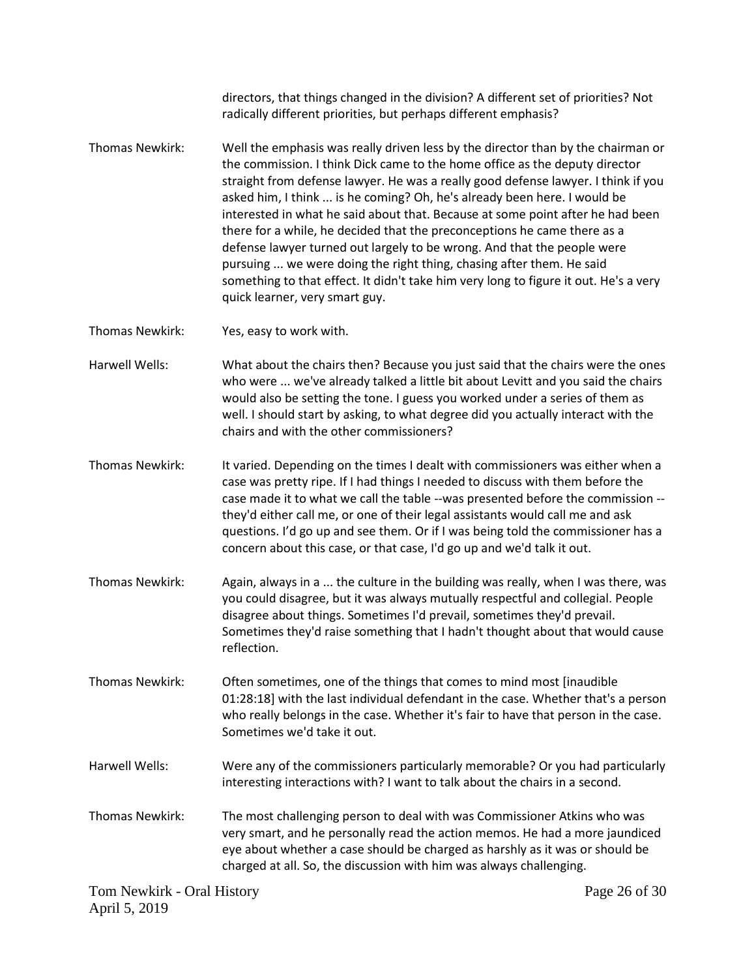|                                             | directors, that things changed in the division? A different set of priorities? Not<br>radically different priorities, but perhaps different emphasis?                                                                                                                                                                                                                                                                                                                                                                                                                                                                                                                                                                                                                       |               |
|---------------------------------------------|-----------------------------------------------------------------------------------------------------------------------------------------------------------------------------------------------------------------------------------------------------------------------------------------------------------------------------------------------------------------------------------------------------------------------------------------------------------------------------------------------------------------------------------------------------------------------------------------------------------------------------------------------------------------------------------------------------------------------------------------------------------------------------|---------------|
| Thomas Newkirk:                             | Well the emphasis was really driven less by the director than by the chairman or<br>the commission. I think Dick came to the home office as the deputy director<br>straight from defense lawyer. He was a really good defense lawyer. I think if you<br>asked him, I think  is he coming? Oh, he's already been here. I would be<br>interested in what he said about that. Because at some point after he had been<br>there for a while, he decided that the preconceptions he came there as a<br>defense lawyer turned out largely to be wrong. And that the people were<br>pursuing  we were doing the right thing, chasing after them. He said<br>something to that effect. It didn't take him very long to figure it out. He's a very<br>quick learner, very smart guy. |               |
| Thomas Newkirk:                             | Yes, easy to work with.                                                                                                                                                                                                                                                                                                                                                                                                                                                                                                                                                                                                                                                                                                                                                     |               |
| Harwell Wells:                              | What about the chairs then? Because you just said that the chairs were the ones<br>who were  we've already talked a little bit about Levitt and you said the chairs<br>would also be setting the tone. I guess you worked under a series of them as<br>well. I should start by asking, to what degree did you actually interact with the<br>chairs and with the other commissioners?                                                                                                                                                                                                                                                                                                                                                                                        |               |
| Thomas Newkirk:                             | It varied. Depending on the times I dealt with commissioners was either when a<br>case was pretty ripe. If I had things I needed to discuss with them before the<br>case made it to what we call the table --was presented before the commission --<br>they'd either call me, or one of their legal assistants would call me and ask<br>questions. I'd go up and see them. Or if I was being told the commissioner has a<br>concern about this case, or that case, I'd go up and we'd talk it out.                                                                                                                                                                                                                                                                          |               |
| Thomas Newkirk:                             | Again, always in a  the culture in the building was really, when I was there, was<br>you could disagree, but it was always mutually respectful and collegial. People<br>disagree about things. Sometimes I'd prevail, sometimes they'd prevail.<br>Sometimes they'd raise something that I hadn't thought about that would cause<br>reflection.                                                                                                                                                                                                                                                                                                                                                                                                                             |               |
| Thomas Newkirk:                             | Often sometimes, one of the things that comes to mind most [inaudible<br>01:28:18] with the last individual defendant in the case. Whether that's a person<br>who really belongs in the case. Whether it's fair to have that person in the case.<br>Sometimes we'd take it out.                                                                                                                                                                                                                                                                                                                                                                                                                                                                                             |               |
| Harwell Wells:                              | Were any of the commissioners particularly memorable? Or you had particularly<br>interesting interactions with? I want to talk about the chairs in a second.                                                                                                                                                                                                                                                                                                                                                                                                                                                                                                                                                                                                                |               |
| Thomas Newkirk:                             | The most challenging person to deal with was Commissioner Atkins who was<br>very smart, and he personally read the action memos. He had a more jaundiced<br>eye about whether a case should be charged as harshly as it was or should be<br>charged at all. So, the discussion with him was always challenging.                                                                                                                                                                                                                                                                                                                                                                                                                                                             |               |
| Tom Newkirk - Oral History<br>April 5, 2019 |                                                                                                                                                                                                                                                                                                                                                                                                                                                                                                                                                                                                                                                                                                                                                                             | Page 26 of 30 |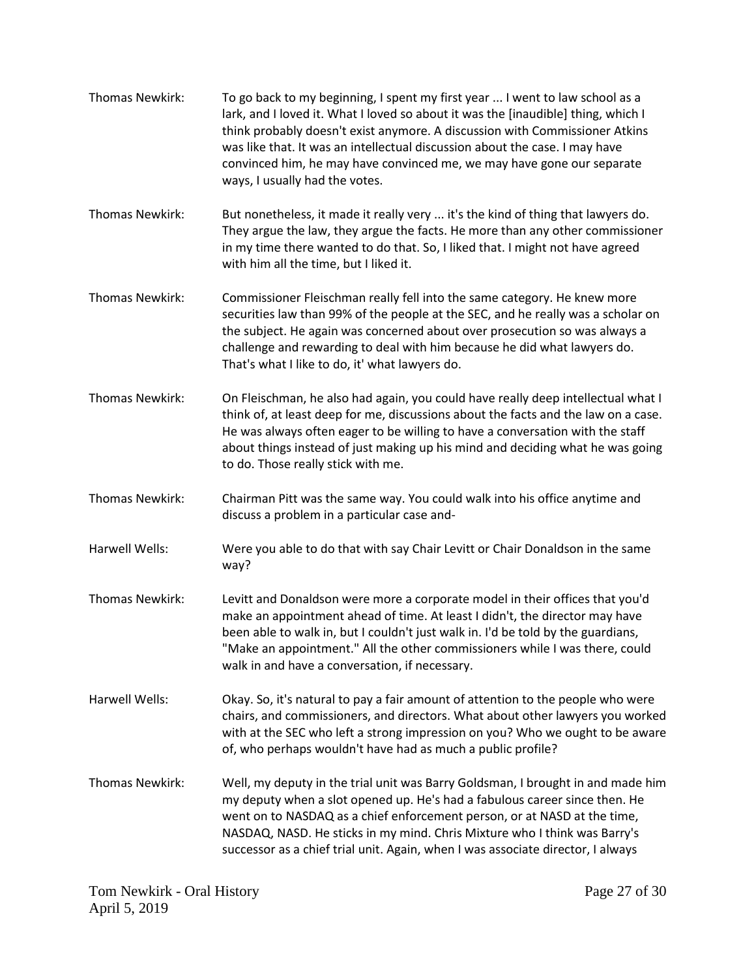Thomas Newkirk: To go back to my beginning, I spent my first year ... I went to law school as a lark, and I loved it. What I loved so about it was the [inaudible] thing, which I think probably doesn't exist anymore. A discussion with Commissioner Atkins was like that. It was an intellectual discussion about the case. I may have convinced him, he may have convinced me, we may have gone our separate ways, I usually had the votes. Thomas Newkirk: But nonetheless, it made it really very ... it's the kind of thing that lawyers do. They argue the law, they argue the facts. He more than any other commissioner in my time there wanted to do that. So, I liked that. I might not have agreed with him all the time, but I liked it. Thomas Newkirk: Commissioner Fleischman really fell into the same category. He knew more securities law than 99% of the people at the SEC, and he really was a scholar on the subject. He again was concerned about over prosecution so was always a challenge and rewarding to deal with him because he did what lawyers do. That's what I like to do, it' what lawyers do. Thomas Newkirk: On Fleischman, he also had again, you could have really deep intellectual what I think of, at least deep for me, discussions about the facts and the law on a case. He was always often eager to be willing to have a conversation with the staff about things instead of just making up his mind and deciding what he was going to do. Those really stick with me. Thomas Newkirk: Chairman Pitt was the same way. You could walk into his office anytime and discuss a problem in a particular case and-Harwell Wells: Were you able to do that with say Chair Levitt or Chair Donaldson in the same way? Thomas Newkirk: Levitt and Donaldson were more a corporate model in their offices that you'd make an appointment ahead of time. At least I didn't, the director may have been able to walk in, but I couldn't just walk in. I'd be told by the guardians, "Make an appointment." All the other commissioners while I was there, could walk in and have a conversation, if necessary. Harwell Wells: Okay. So, it's natural to pay a fair amount of attention to the people who were chairs, and commissioners, and directors. What about other lawyers you worked with at the SEC who left a strong impression on you? Who we ought to be aware of, who perhaps wouldn't have had as much a public profile? Thomas Newkirk: Well, my deputy in the trial unit was Barry Goldsman, I brought in and made him my deputy when a slot opened up. He's had a fabulous career since then. He went on to NASDAQ as a chief enforcement person, or at NASD at the time, NASDAQ, NASD. He sticks in my mind. Chris Mixture who I think was Barry's successor as a chief trial unit. Again, when I was associate director, I always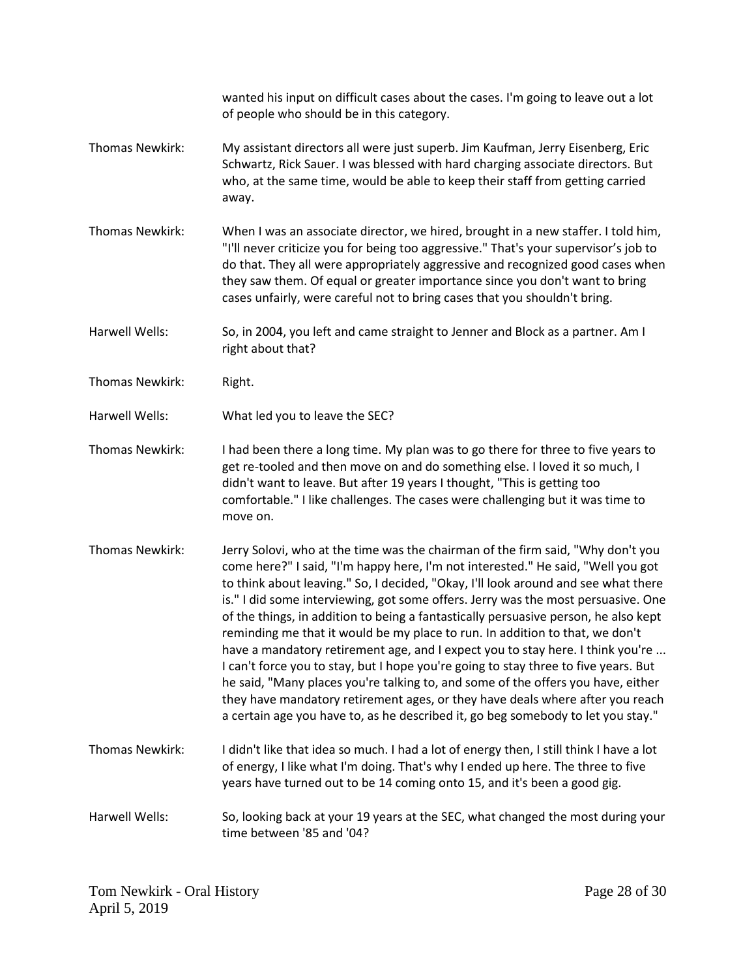wanted his input on difficult cases about the cases. I'm going to leave out a lot of people who should be in this category.

- Thomas Newkirk: My assistant directors all were just superb. Jim Kaufman, Jerry Eisenberg, Eric Schwartz, Rick Sauer. I was blessed with hard charging associate directors. But who, at the same time, would be able to keep their staff from getting carried away.
- Thomas Newkirk: When I was an associate director, we hired, brought in a new staffer. I told him, "I'll never criticize you for being too aggressive." That's your supervisor's job to do that. They all were appropriately aggressive and recognized good cases when they saw them. Of equal or greater importance since you don't want to bring cases unfairly, were careful not to bring cases that you shouldn't bring.

Harwell Wells: So, in 2004, you left and came straight to Jenner and Block as a partner. Am I right about that?

- Thomas Newkirk: Right.
- Harwell Wells: What led you to leave the SEC?
- Thomas Newkirk: I had been there a long time. My plan was to go there for three to five years to get re-tooled and then move on and do something else. I loved it so much, I didn't want to leave. But after 19 years I thought, "This is getting too comfortable." I like challenges. The cases were challenging but it was time to move on.
- Thomas Newkirk: Jerry Solovi, who at the time was the chairman of the firm said, "Why don't you come here?" I said, "I'm happy here, I'm not interested." He said, "Well you got to think about leaving." So, I decided, "Okay, I'll look around and see what there is." I did some interviewing, got some offers. Jerry was the most persuasive. One of the things, in addition to being a fantastically persuasive person, he also kept reminding me that it would be my place to run. In addition to that, we don't have a mandatory retirement age, and I expect you to stay here. I think you're ... I can't force you to stay, but I hope you're going to stay three to five years. But he said, "Many places you're talking to, and some of the offers you have, either they have mandatory retirement ages, or they have deals where after you reach a certain age you have to, as he described it, go beg somebody to let you stay."
- Thomas Newkirk: I didn't like that idea so much. I had a lot of energy then, I still think I have a lot of energy, I like what I'm doing. That's why I ended up here. The three to five years have turned out to be 14 coming onto 15, and it's been a good gig.
- Harwell Wells: So, looking back at your 19 years at the SEC, what changed the most during your time between '85 and '04?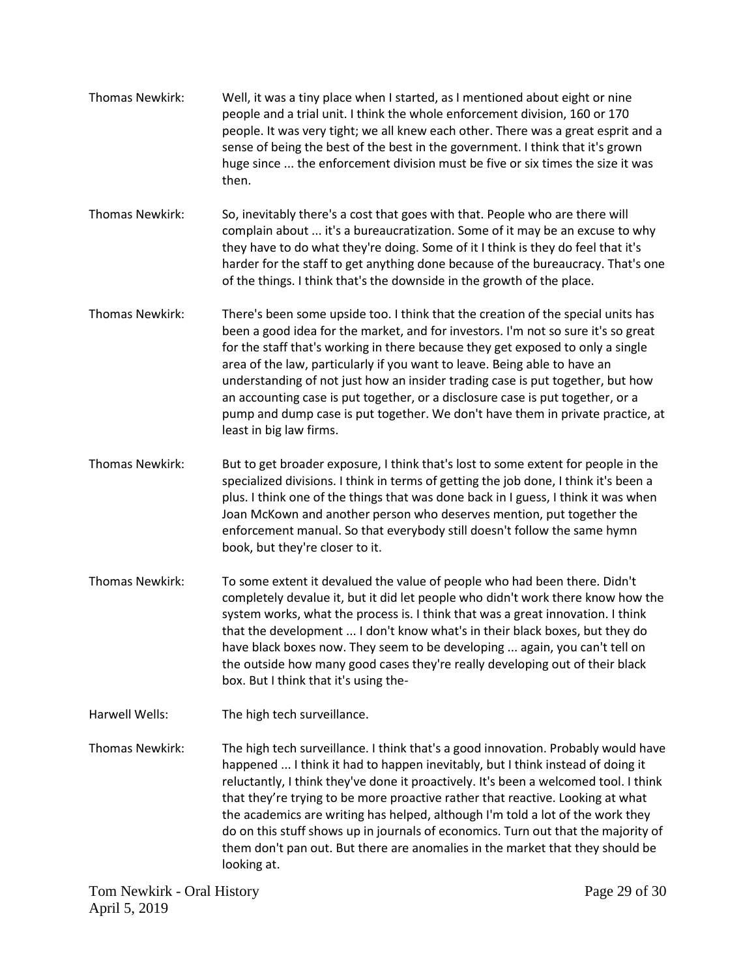Thomas Newkirk: Well, it was a tiny place when I started, as I mentioned about eight or nine people and a trial unit. I think the whole enforcement division, 160 or 170 people. It was very tight; we all knew each other. There was a great esprit and a sense of being the best of the best in the government. I think that it's grown huge since ... the enforcement division must be five or six times the size it was then.

Thomas Newkirk: So, inevitably there's a cost that goes with that. People who are there will complain about ... it's a bureaucratization. Some of it may be an excuse to why they have to do what they're doing. Some of it I think is they do feel that it's harder for the staff to get anything done because of the bureaucracy. That's one of the things. I think that's the downside in the growth of the place.

- Thomas Newkirk: There's been some upside too. I think that the creation of the special units has been a good idea for the market, and for investors. I'm not so sure it's so great for the staff that's working in there because they get exposed to only a single area of the law, particularly if you want to leave. Being able to have an understanding of not just how an insider trading case is put together, but how an accounting case is put together, or a disclosure case is put together, or a pump and dump case is put together. We don't have them in private practice, at least in big law firms.
- Thomas Newkirk: But to get broader exposure, I think that's lost to some extent for people in the specialized divisions. I think in terms of getting the job done, I think it's been a plus. I think one of the things that was done back in I guess, I think it was when Joan McKown and another person who deserves mention, put together the enforcement manual. So that everybody still doesn't follow the same hymn book, but they're closer to it.
- Thomas Newkirk: To some extent it devalued the value of people who had been there. Didn't completely devalue it, but it did let people who didn't work there know how the system works, what the process is. I think that was a great innovation. I think that the development ... I don't know what's in their black boxes, but they do have black boxes now. They seem to be developing ... again, you can't tell on the outside how many good cases they're really developing out of their black box. But I think that it's using the-
- Harwell Wells: The high tech surveillance.
- Thomas Newkirk: The high tech surveillance. I think that's a good innovation. Probably would have happened ... I think it had to happen inevitably, but I think instead of doing it reluctantly, I think they've done it proactively. It's been a welcomed tool. I think that they're trying to be more proactive rather that reactive. Looking at what the academics are writing has helped, although I'm told a lot of the work they do on this stuff shows up in journals of economics. Turn out that the majority of them don't pan out. But there are anomalies in the market that they should be looking at.